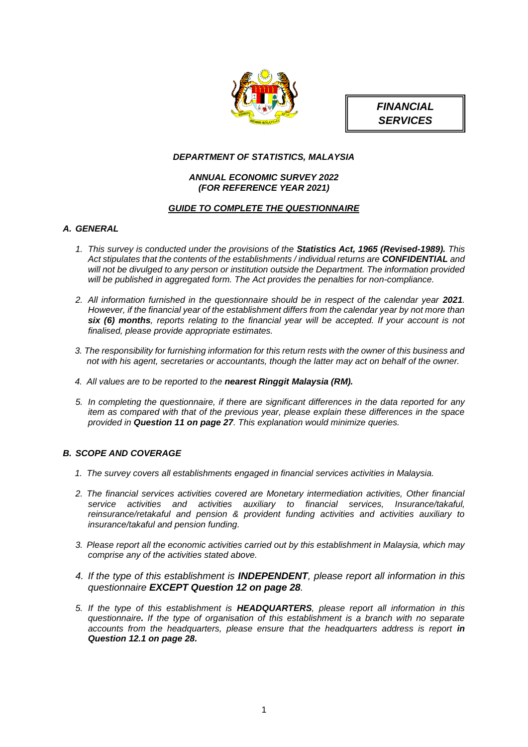



# *DEPARTMENT OF STATISTICS, MALAYSIA*

# *ANNUAL ECONOMIC SURVEY 2022 (FOR REFERENCE YEAR 2021)*

# *GUIDE TO COMPLETE THE QUESTIONNAIRE*

# *A. GENERAL*

- *1. This survey is conducted under the provisions of the Statistics Act, 1965 (Revised-1989). This Act stipulates that the contents of the establishments / individual returns are CONFIDENTIAL and will not be divulged to any person or institution outside the Department. The information provided will be published in aggregated form. The Act provides the penalties for non-compliance.*
- 2. All information furnished in the questionnaire should be in respect of the calendar year 2021. *However, if the financial year of the establishment differs from the calendar year by not more than six (6) months, reports relating to the financial year will be accepted. If your account is not finalised, please provide appropriate estimates.*
- *3. The responsibility for furnishing information for this return rests with the owner of this business and not with his agent, secretaries or accountants, though the latter may act on behalf of the owner.*
- *4. All values are to be reported to the nearest Ringgit Malaysia (RM).*
- *5. In completing the questionnaire, if there are significant differences in the data reported for any item as compared with that of the previous year, please explain these differences in the space provided in Question 11 on page 27. This explanation would minimize queries.*

# *B. SCOPE AND COVERAGE*

- *1. The survey covers all establishments engaged in financial services activities in Malaysia.*
- *2. The financial services activities covered are Monetary intermediation activities, Other financial service activities and activities auxiliary to financial services, Insurance/takaful, reinsurance/retakaful and pension & provident funding activities and activities auxiliary to insurance/takaful and pension funding.*
- *3. Please report all the economic activities carried out by this establishment in Malaysia, which may comprise any of the activities stated above.*
- *4. If the type of this establishment is INDEPENDENT, please report all information in this questionnaire EXCEPT Question 12 on page 28.*
- *5. If the type of this establishment is HEADQUARTERS, please report all information in this questionnaire. If the type of organisation of this establishment is a branch with no separate*  accounts from the headquarters, please ensure that the headquarters address is report in *Question 12.1 on page 28.*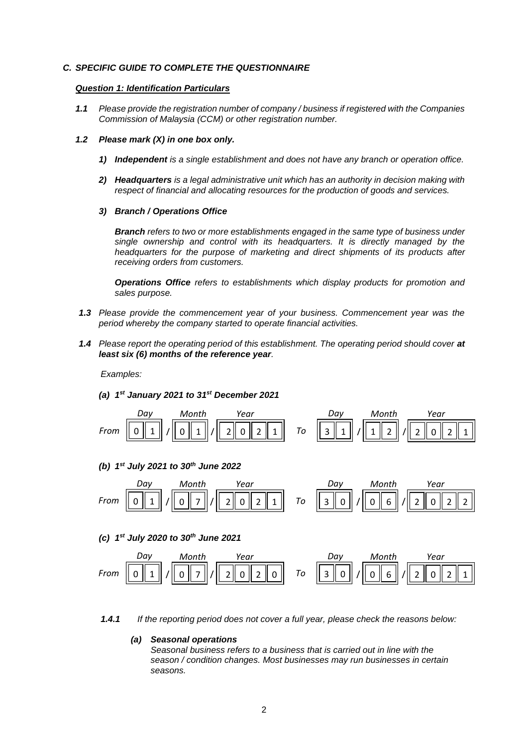# *C. SPECIFIC GUIDE TO COMPLETE THE QUESTIONNAIRE*

#### *Question 1: Identification Particulars*

*1.1 Please provide the registration number of company / business if registered with the Companies Commission of Malaysia (CCM) or other registration number.*

#### *1.2 Please mark (X) in one box only.*

- *1) Independent is a single establishment and does not have any branch or operation office.*
- *2) Headquarters is a legal administrative unit which has an authority in decision making with respect of financial and allocating resources for the production of goods and services.*
- *3) Branch / Operations Office*

*Branch refers to two or more establishments engaged in the same type of business under single ownership and control with its headquarters. It is directly managed by the headquarters for the purpose of marketing and direct shipments of its products after receiving orders from customers.*

*Operations Office refers to establishments which display products for promotion and sales purpose.*

- *1.3 Please provide the commencement year of your business. Commencement year was the period whereby the company started to operate financial activities.*
- 1.4 Please report the operating period of this establishment. The operating period should cover at *least six (6) months of the reference year.*

*Examples:*

*(a) 1 st January 2021 to 31st December 2021*



*(b) 1 st July 2021 to 30th June 2022*



*(c) 1 st July 2020 to 30th June 2021*



*1.4.1 If the reporting period does not cover a full year, please check the reasons below:* 

#### *(a) Seasonal operations*

*Seasonal business refers to a business that is carried out in line with the season / condition changes. Most businesses may run businesses in certain seasons.*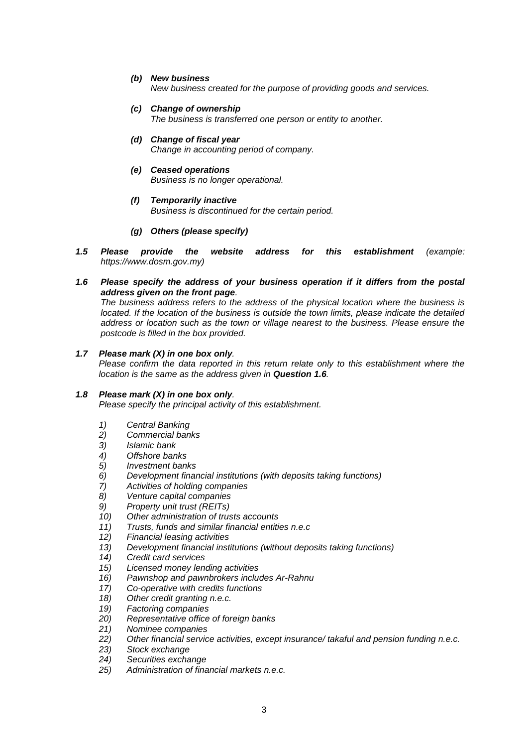*(b) New business*

*New business created for the purpose of providing goods and services.*

- *(c) Change of ownership The business is transferred one person or entity to another.*
- *(d) Change of fiscal year Change in accounting period of company.*
- *(e) Ceased operations Business is no longer operational.*
- *(f) Temporarily inactive Business is discontinued for the certain period.*
- *(g) Others (please specify)*
- *1.5 Please provide the website address for this establishment (example: https://www.dosm.gov.my)*
- *1.6 Please specify the address of your business operation if it differs from the postal address given on the front page.*

*The business address refers to the address of the physical location where the business is located. If the location of the business is outside the town limits, please indicate the detailed address or location such as the town or village nearest to the business. Please ensure the postcode is filled in the box provided.*

# *1.7 Please mark (X) in one box only.*

*Please confirm the data reported in this return relate only to this establishment where the location is the same as the address given in Question 1.6.*

## *1.8 Please mark (X) in one box only.*

*Please specify the principal activity of this establishment.*

- *1) Central Banking*
- *2) Commercial banks*
- *3) Islamic bank*
- *4) Offshore banks*
- *5) Investment banks*
- *6) Development financial institutions (with deposits taking functions)*
- *7) Activities of holding companies*
- *8) Venture capital companies*
- *9) Property unit trust (REITs)*
- *10) Other administration of trusts accounts*
- *11) Trusts, funds and similar financial entities n.e.c*
- *12) Financial leasing activities*
- *13) Development financial institutions (without deposits taking functions)*
- *14) Credit card services*
- *15) Licensed money lending activities*
- *16) Pawnshop and pawnbrokers includes Ar-Rahnu*
- *17) Co-operative with credits functions*
- *18) Other credit granting n.e.c.*
- *19) Factoring companies*
- *20) Representative office of foreign banks*
- *21) Nominee companies*
- *22) Other financial service activities, except insurance/ takaful and pension funding n.e.c.*
- *23) Stock exchange*
- *24) Securities exchange*
- *25) Administration of financial markets n.e.c.*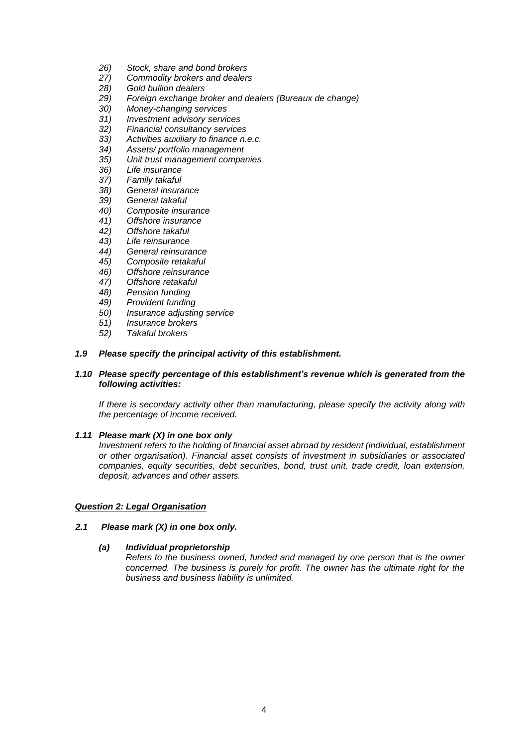- *26) Stock, share and bond brokers*
- *27) Commodity brokers and dealers*
- *28) Gold bullion dealers*
- *29) Foreign exchange broker and dealers (Bureaux de change)*
- *30) Money-changing services*
- *31) Investment advisory services*
- *32) Financial consultancy services*
- *33) Activities auxiliary to finance n.e.c.*
- *34) Assets/ portfolio management*
- *35) Unit trust management companies*
- *36) Life insurance*
- *37) Family takaful*
- *38) General insurance*
- *39) General takaful*
- *40) Composite insurance*
- *41) Offshore insurance*
- *42) Offshore takaful*
- *43) Life reinsurance*
- *44) General reinsurance*
- *45) Composite retakaful*
- *46) Offshore reinsurance*
- *47) Offshore retakaful*
- 
- *48) Pension funding 49) Provident funding*
- *50) Insurance adjusting service*
- *51) Insurance brokers*
- *52) Takaful brokers*

## *1.9 Please specify the principal activity of this establishment.*

# *1.10 Please specify percentage of this establishment's revenue which is generated from the following activities:*

*If there is secondary activity other than manufacturing, please specify the activity along with the percentage of income received.*

## *1.11 Please mark (X) in one box only*

*Investment refers to the holding of financial asset abroad by resident (individual, establishment or other organisation). Financial asset consists of investment in subsidiaries or associated companies, equity securities, debt securities, bond, trust unit, trade credit, loan extension, deposit, advances and other assets.*

## *Question 2: Legal Organisation*

## *2.1 Please mark (X) in one box only.*

# *(a) Individual proprietorship*

*Refers to the business owned, funded and managed by one person that is the owner concerned. The business is purely for profit. The owner has the ultimate right for the business and business liability is unlimited.*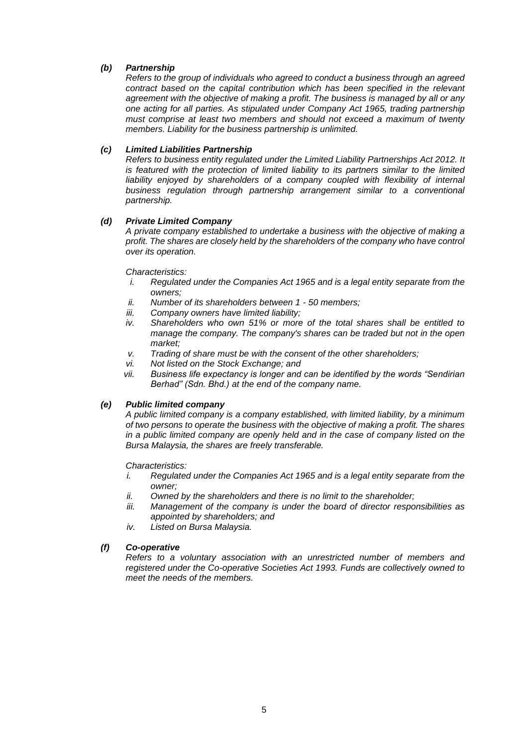# *(b) Partnership*

*Refers to the group of individuals who agreed to conduct a business through an agreed contract based on the capital contribution which has been specified in the relevant agreement with the objective of making a profit. The business is managed by all or any one acting for all parties. As stipulated under Company Act 1965, trading partnership must comprise at least two members and should not exceed a maximum of twenty members. Liability for the business partnership is unlimited.*

# *(c) Limited Liabilities Partnership*

*Refers to business entity regulated under the Limited Liability Partnerships Act 2012. It is featured with the protection of limited liability to its partners similar to the limited*  liability enjoyed by shareholders of a company coupled with flexibility of internal *business regulation through partnership arrangement similar to a conventional partnership.*

# *(d) Private Limited Company*

*A private company established to undertake a business with the objective of making a profit. The shares are closely held by the shareholders of the company who have control over its operation.*

## *Characteristics:*

- *i. Regulated under the Companies Act 1965 and is a legal entity separate from the owners;*
- *ii. Number of its shareholders between 1 - 50 members;*
- *iii. Company owners have limited liability;*
- *iv. Shareholders who own 51% or more of the total shares shall be entitled to manage the company. The company's shares can be traded but not in the open market;*
- *v. Trading of share must be with the consent of the other shareholders;*
- *vi. Not listed on the Stock Exchange; and*
- *vii. Business life expectancy is longer and can be identified by the words "Sendirian Berhad" (Sdn. Bhd.) at the end of the company name.*

# *(e) Public limited company*

*A public limited company is a company established, with limited liability, by a minimum of two persons to operate the business with the objective of making a profit. The shares in a public limited company are openly held and in the case of company listed on the Bursa Malaysia, the shares are freely transferable.* 

## *Characteristics:*

- *i. Regulated under the Companies Act 1965 and is a legal entity separate from the owner;*
- *ii. Owned by the shareholders and there is no limit to the shareholder;*
- *iii. Management of the company is under the board of director responsibilities as appointed by shareholders; and*
- *iv. Listed on Bursa Malaysia.*

## *(f) Co-operative*

*Refers to a voluntary association with an unrestricted number of members and registered under the Co-operative Societies Act 1993. Funds are collectively owned to meet the needs of the members.*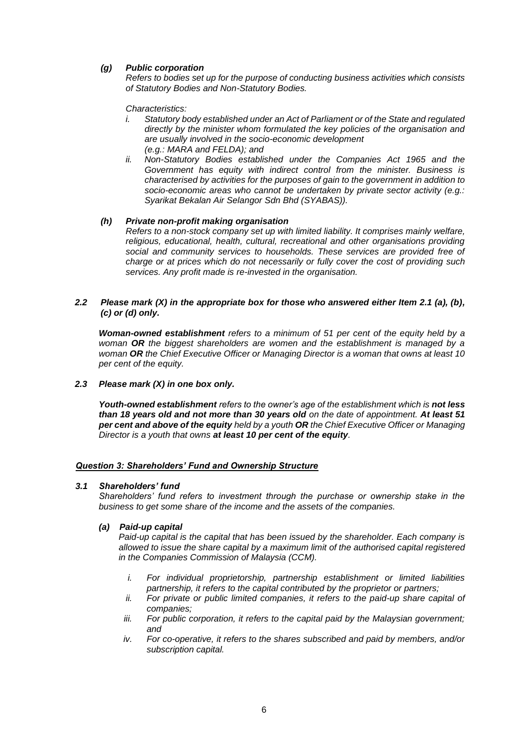# *(g) Public corporation*

*Refers to bodies set up for the purpose of conducting business activities which consists of Statutory Bodies and Non-Statutory Bodies.*

*Characteristics:*

- *i. Statutory body established under an Act of Parliament or of the State and regulated directly by the minister whom formulated the key policies of the organisation and are usually involved in the socio-economic development (e.g.: MARA and FELDA); and*
- *ii. Non-Statutory Bodies established under the Companies Act 1965 and the Government has equity with indirect control from the minister. Business is characterised by activities for the purposes of gain to the government in addition to socio-economic areas who cannot be undertaken by private sector activity (e.g.: Syarikat Bekalan Air Selangor Sdn Bhd (SYABAS)).*

#### *(h) Private non-profit making organisation*

*Refers to a non-stock company set up with limited liability. It comprises mainly welfare, religious, educational, health, cultural, recreational and other organisations providing social and community services to households. These services are provided free of charge or at prices which do not necessarily or fully cover the cost of providing such services. Any profit made is re-invested in the organisation.*

## *2.2 Please mark (X) in the appropriate box for those who answered either Item 2.1 (a), (b), (c) or (d) only.*

*Woman-owned establishment refers to a minimum of 51 per cent of the equity held by a woman OR the biggest shareholders are women and the establishment is managed by a woman OR the Chief Executive Officer or Managing Director is a woman that owns at least 10 per cent of the equity.*

# *2.3 Please mark (X) in one box only.*

Youth-owned establishment *refers* to the owner's age of the establishment which is not less *than 18 years old and not more than 30 years old on the date of appointment. At least 51 per cent and above of the equity held by a youth OR the Chief Executive Officer or Managing Director is a youth that owns at least 10 per cent of the equity.*

#### *Question 3: Shareholders' Fund and Ownership Structure*

#### *3.1 Shareholders' fund*

*Shareholders' fund refers to investment through the purchase or ownership stake in the business to get some share of the income and the assets of the companies.*

#### *(a) Paid-up capital*

*Paid-up capital is the capital that has been issued by the shareholder. Each company is allowed to issue the share capital by a maximum limit of the authorised capital registered in the Companies Commission of Malaysia (CCM).*

- *i. For individual proprietorship, partnership establishment or limited liabilities partnership, it refers to the capital contributed by the proprietor or partners;*
- *ii. For private or public limited companies, it refers to the paid-up share capital of companies;*
- *iii. For public corporation, it refers to the capital paid by the Malaysian government; and*
- *iv. For co-operative, it refers to the shares subscribed and paid by members, and/or subscription capital.*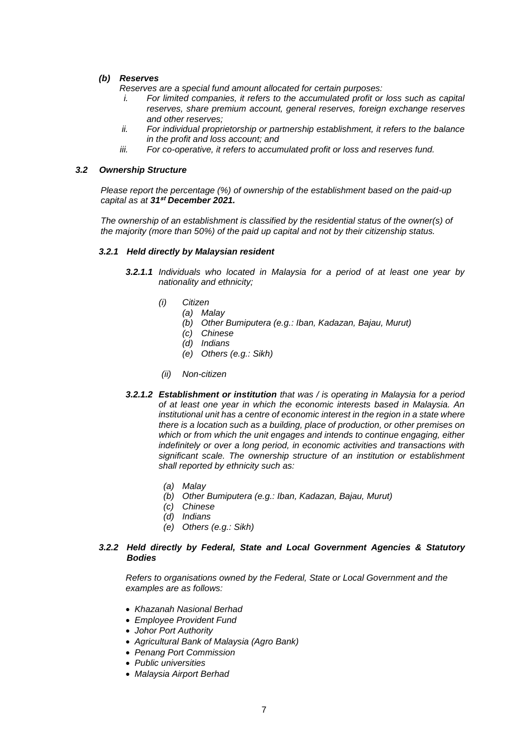# *(b) Reserves*

- *Reserves are a special fund amount allocated for certain purposes:*
- *i.* For limited companies, it refers to the accumulated profit or loss such as capital *reserves, share premium account, general reserves, foreign exchange reserves and other reserves;*
- *ii. For individual proprietorship or partnership establishment, it refers to the balance in the profit and loss account; and*
- *iii. For co-operative, it refers to accumulated profit or loss and reserves fund.*

# *3.2 Ownership Structure*

*Please report the percentage (%) of ownership of the establishment based on the paid-up capital as at 31***st** *December 2021.*

The ownership of an establishment is classified by the residential status of the owner(s) of *the majority (more than 50%) of the paid up capital and not by their citizenship status.*

## *3.2.1 Held directly by Malaysian resident*

- *3.2.1.1 Individuals who located in Malaysia for a period of at least one year by nationality and ethnicity;*
	- *(i) Citizen*
		- *(a) Malay*
		- *(b) Other Bumiputera (e.g.: Iban, Kadazan, Bajau, Murut)*
		- *(c) Chinese*
		- *(d) Indians*
		- *(e) Others (e.g.: Sikh)*
	- *(ii) Non-citizen*
- *3.2.1.2 Establishment or institution that was / is operating in Malaysia for a period of at least one year in which the economic interests based in Malaysia. An institutional unit has a centre of economic interest in the region in a state where there is a location such as a building, place of production, or other premises on which or from which the unit engages and intends to continue engaging, either indefinitely or over a long period, in economic activities and transactions with significant scale. The ownership structure of an institution or establishment shall reported by ethnicity such as:*
	- *(a) Malay*
	- *(b) Other Bumiputera (e.g.: Iban, Kadazan, Bajau, Murut)*
	- *(c) Chinese*
	- *(d) Indians*
	- *(e) Others (e.g.: Sikh)*

## *3.2.2 Held directly by Federal, State and Local Government Agencies & Statutory Bodies*

 *Refers to organisations owned by the Federal, State or Local Government and the examples are as follows:*

- *Khazanah Nasional Berhad*
- *Employee Provident Fund*
- *Johor Port Authority*
- *Agricultural Bank of Malaysia (Agro Bank)*
- *Penang Port Commission*
- *Public universities*
- *Malaysia Airport Berhad*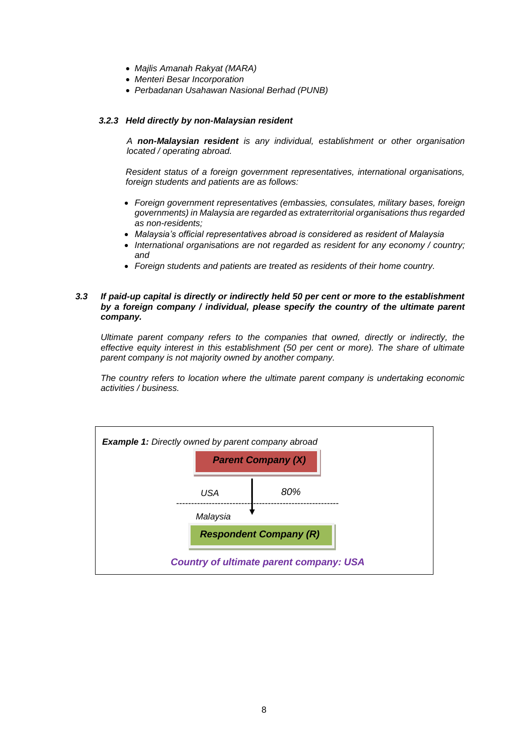- *Majlis Amanah Rakyat (MARA)*
- *Menteri Besar Incorporation*
- *Perbadanan Usahawan Nasional Berhad (PUNB)*

# *3.2.3 Held directly by non-Malaysian resident*

*A non-Malaysian resident is any individual, establishment or other organisation located / operating abroad.* 

*Resident status of a foreign government representatives, international organisations, foreign students and patients are as follows:*

- *Foreign government representatives (embassies, consulates, military bases, foreign governments) in Malaysia are regarded as extraterritorial organisations thus regarded as non-residents;*
- *Malaysia's official representatives abroad is considered as resident of Malaysia*
- *International organisations are not regarded as resident for any economy / country; and*
- *Foreign students and patients are treated as residents of their home country.*

# *3.3 If paid-up capital is directly or indirectly held 50 per cent or more to the establishment by a foreign company / individual, please specify the country of the ultimate parent company.*

*Ultimate parent company refers to the companies that owned, directly or indirectly, the effective equity interest in this establishment (50 per cent or more). The share of ultimate parent company is not majority owned by another company.*

*The country refers to location where the ultimate parent company is undertaking economic activities / business.*

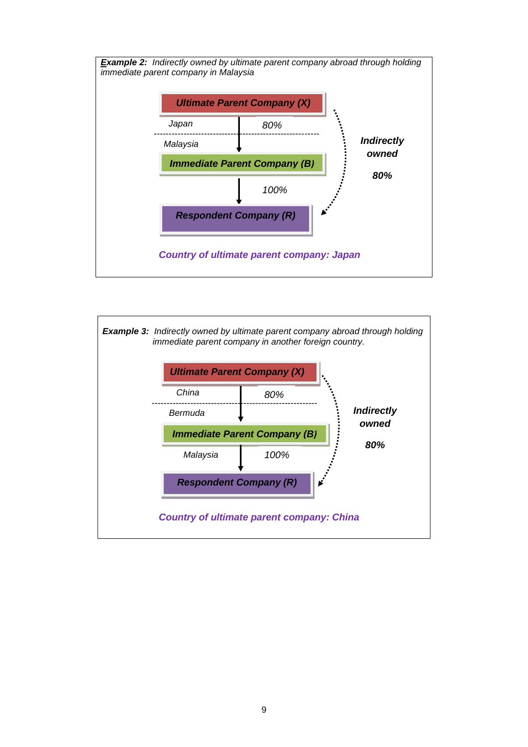

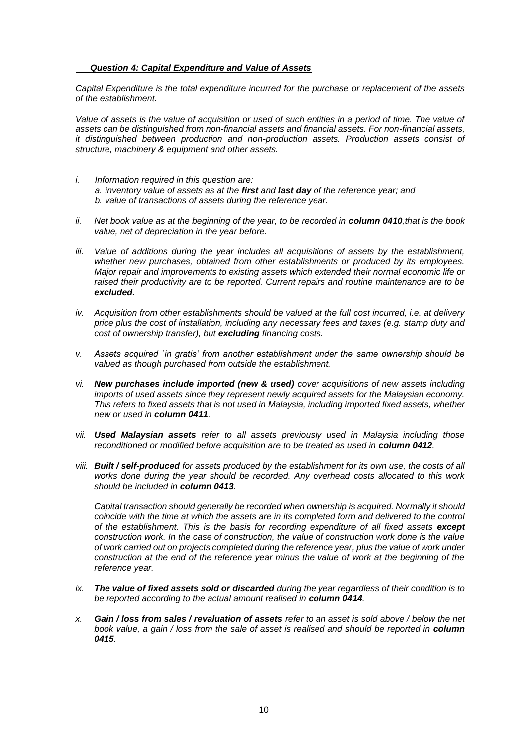# *Question 4: Capital Expenditure and Value of Assets*

*Capital Expenditure is the total expenditure incurred for the purchase or replacement of the assets of the establishment.* 

*Value of assets is the value of acquisition or used of such entities in a period of time. The value of assets can be distinguished from non-financial assets and financial assets. For non-financial assets, it distinguished between production and non-production assets. Production assets consist of structure, machinery & equipment and other assets.*

- *i. Information required in this question are: a. inventory value of assets as at the first and last day of the reference year; and b. value of transactions of assets during the reference year.*
- *ii.* Net book value as at the beginning of the year, to be recorded in **column 0410**, that is the book *value, net of depreciation in the year before.*
- iii. Value of additions during the year includes all acquisitions of assets by the establishment, *whether new purchases, obtained from other establishments or produced by its employees. Major repair and improvements to existing assets which extended their normal economic life or raised their productivity are to be reported. Current repairs and routine maintenance are to be excluded.*
- *iv. Acquisition from other establishments should be valued at the full cost incurred, i.e. at delivery price plus the cost of installation, including any necessary fees and taxes (e.g. stamp duty and cost of ownership transfer), but excluding financing costs.*
- *v. Assets acquired `in gratis' from another establishment under the same ownership should be valued as though purchased from outside the establishment.*
- *vi. New purchases include imported (new & used) cover acquisitions of new assets including imports of used assets since they represent newly acquired assets for the Malaysian economy. This refers to fixed assets that is not used in Malaysia, including imported fixed assets, whether new or used in column 0411.*
- *vii. Used Malaysian assets refer to all assets previously used in Malaysia including those reconditioned or modified before acquisition are to be treated as used in column 0412.*
- *viii. Built / self-produced for assets produced by the establishment for its own use, the costs of all works done during the year should be recorded. Any overhead costs allocated to this work should be included in column 0413.*

*Capital transaction should generally be recorded when ownership is acquired. Normally it should coincide with the time at which the assets are in its completed form and delivered to the control of the establishment. This is the basis for recording expenditure of all fixed assets except construction work. In the case of construction, the value of construction work done is the value of work carried out on projects completed during the reference year, plus the value of work under construction at the end of the reference year minus the value of work at the beginning of the reference year.*

- *ix. The value of fixed assets sold or discarded during the year regardless of their condition is to be reported according to the actual amount realised in column 0414.*
- *x. Gain / loss from sales / revaluation of assets refer to an asset is sold above / below the net book value, a gain / loss from the sale of asset is realised and should be reported in column 0415.*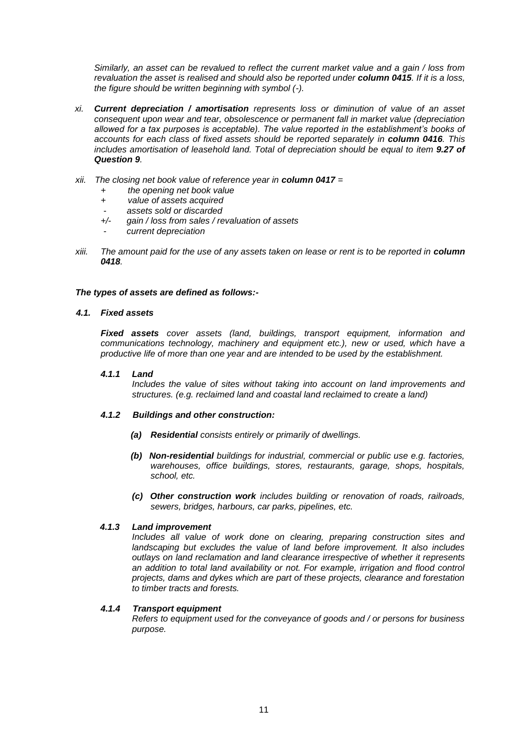*Similarly, an asset can be revalued to reflect the current market value and a gain / loss from revaluation the asset is realised and should also be reported under column 0415. If it is a loss, the figure should be written beginning with symbol (-).*

- *xi. Current depreciation / amortisation represents loss or diminution of value of an asset consequent upon wear and tear, obsolescence or permanent fall in market value (depreciation allowed for a tax purposes is acceptable). The value reported in the establishment's books of accounts for each class of fixed assets should be reported separately in column 0416. This includes amortisation of leasehold land. Total of depreciation should be equal to item 9.27 of Question 9.*
- *xii. The closing net book value of reference year in column 0417 =*
	- *+ the opening net book value*
	- *+ value of assets acquired*
	- - *assets sold or discarded*
	- *+/- gain / loss from sales / revaluation of assets*
	- - *current depreciation*
- *xiii.* The amount paid for the use of any assets taken on lease or rent is to be reported in **column** *0418.*

# *The types of assets are defined as follows:-*

## *4.1. Fixed assets*

*Fixed assets cover assets (land, buildings, transport equipment, information and communications technology, machinery and equipment etc.), new or used, which have a productive life of more than one year and are intended to be used by the establishment.*

## *4.1.1 Land*

*Includes the value of sites without taking into account on land improvements and structures. (e.g. reclaimed land and coastal land reclaimed to create a land)*

# *4.1.2 Buildings and other construction:*

- *(a) Residential consists entirely or primarily of dwellings.*
- *(b) Non-residential buildings for industrial, commercial or public use e.g. factories, warehouses, office buildings, stores, restaurants, garage, shops, hospitals, school, etc.*
- *(c) Other construction work includes building or renovation of roads, railroads, sewers, bridges, harbours, car parks, pipelines, etc.*

## *4.1.3 Land improvement*

*Includes all value of work done on clearing, preparing construction sites and landscaping but excludes the value of land before improvement. It also includes outlays on land reclamation and land clearance irrespective of whether it represents an addition to total land availability or not. For example, irrigation and flood control projects, dams and dykes which are part of these projects, clearance and forestation to timber tracts and forests.*

## *4.1.4 Transport equipment*

*Refers to equipment used for the conveyance of goods and / or persons for business purpose.*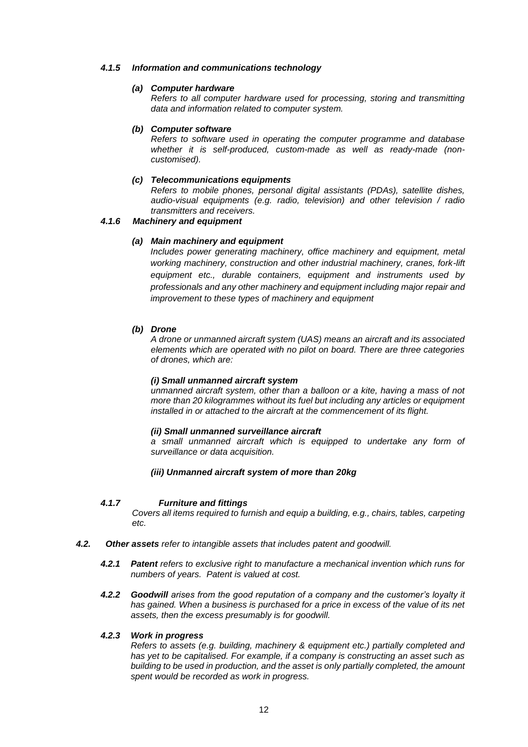## *4.1.5 Information and communications technology*

# *(a) Computer hardware*

*Refers to all computer hardware used for processing, storing and transmitting data and information related to computer system.*

# *(b) Computer software*

*Refers to software used in operating the computer programme and database whether it is self-produced, custom-made as well as ready-made (noncustomised).*

# *(c) Telecommunications equipments*

*Refers to mobile phones, personal digital assistants (PDAs), satellite dishes, audio-visual equipments (e.g. radio, television) and other television / radio transmitters and receivers.*

# *4.1.6 Machinery and equipment*

# *(a) Main machinery and equipment*

*Includes power generating machinery, office machinery and equipment, metal working machinery, construction and other industrial machinery, cranes, fork-lift equipment etc., durable containers, equipment and instruments used by professionals and any other machinery and equipment including major repair and improvement to these types of machinery and equipment*

# *(b) Drone*

*A drone or unmanned aircraft system (UAS) means an aircraft and its associated elements which are operated with no pilot on board. There are three categories of drones, which are:*

## *(i) Small unmanned aircraft system*

*unmanned aircraft system, other than a balloon or a kite, having a mass of not more than 20 kilogrammes without its fuel but including any articles or equipment installed in or attached to the aircraft at the commencement of its flight.*

# *(ii) Small unmanned surveillance aircraft*

*a small unmanned aircraft which is equipped to undertake any form of surveillance or data acquisition.*

## *(iii) Unmanned aircraft system of more than 20kg*

## *4.1.7 Furniture and fittings*

*Covers all items required to furnish and equip a building, e.g., chairs, tables, carpeting etc.*

- *4.2. Other assets refer to intangible assets that includes patent and goodwill.*
	- *4.2.1 Patent refers to exclusive right to manufacture a mechanical invention which runs for numbers of years. Patent is valued at cost.*
	- **4.2.2 Goodwill arises from the good reputation of a company and the customer's loyalty it** *has gained. When a business is purchased for a price in excess of the value of its net assets, then the excess presumably is for goodwill.*

# *4.2.3 Work in progress*

*Refers to assets (e.g. building, machinery & equipment etc.) partially completed and has yet to be capitalised. For example, if a company is constructing an asset such as building to be used in production, and the asset is only partially completed, the amount spent would be recorded as work in progress.*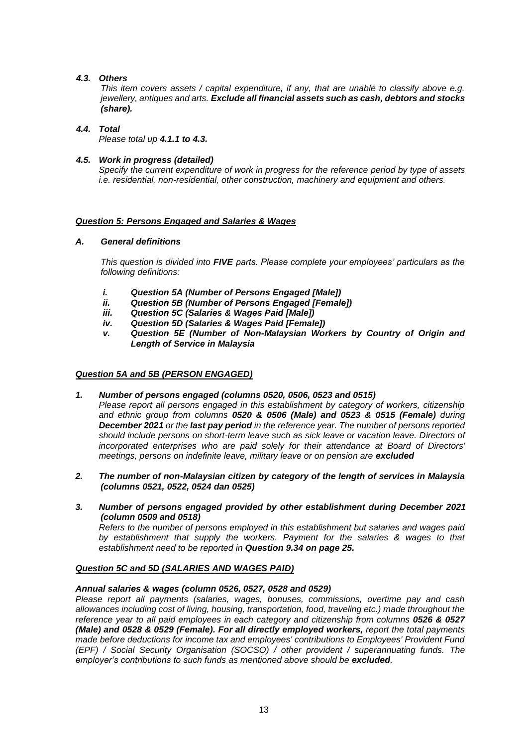# *4.3. Others*

*This item covers assets / capital expenditure, if any, that are unable to classify above e.g. jewellery, antiques and arts. Exclude all financial assets such as cash, debtors and stocks (share).*

# *4.4. Total*

*Please total up 4.1.1 to 4.3.*

# *4.5. Work in progress (detailed)*

*Specify the current expenditure of work in progress for the reference period by type of assets i.e. residential, non-residential, other construction, machinery and equipment and others.*

# *Question 5: Persons Engaged and Salaries & Wages*

# *A. General definitions*

*This question is divided into FIVE parts. Please complete your employees' particulars as the following definitions:*

- *i. Question 5A (Number of Persons Engaged [Male])*
- *ii. Question 5B (Number of Persons Engaged [Female])*
- *iii. Question 5C (Salaries & Wages Paid [Male])*
- *iv. Question 5D (Salaries & Wages Paid [Female])*
- *v. Question 5E (Number of Non-Malaysian Workers by Country of Origin and Length of Service in Malaysia*

# *Question 5A and 5B (PERSON ENGAGED)*

*1. Number of persons engaged (columns 0520, 0506, 0523 and 0515)*

*Please report all persons engaged in this establishment by category of workers, citizenship and ethnic group from columns 0520 & 0506 (Male) and 0523 & 0515 (Female) during December 2021 or the last pay period in the reference year. The number of persons reported should include persons on short-term leave such as sick leave or vacation leave. Directors of incorporated enterprises who are paid solely for their attendance at Board of Directors' meetings, persons on indefinite leave, military leave or on pension are excluded* 

- *2. The number of non-Malaysian citizen by category of the length of services in Malaysia (columns 0521, 0522, 0524 dan 0525)*
- *3. Number of persons engaged provided by other establishment during December 2021 (column 0509 and 0518)*

*Refers to the number of persons employed in this establishment but salaries and wages paid by establishment that supply the workers. Payment for the salaries & wages to that establishment need to be reported in Question 9.34 on page 25.*

## *Question 5C and 5D (SALARIES AND WAGES PAID)*

# *Annual salaries & wages (column 0526, 0527, 0528 and 0529)*

*Please report all payments (salaries, wages, bonuses, commissions, overtime pay and cash allowances including cost of living, housing, transportation, food, traveling etc.) made throughout the reference year to all paid employees in each category and citizenship from columns 0526 & 0527 (Male) and 0528 & 0529 (Female). For all directly employed workers, report the total payments made before deductions for income tax and employees' contributions to Employees' Provident Fund (EPF) / Social Security Organisation (SOCSO) / other provident / superannuating funds. The employer's contributions to such funds as mentioned above should be excluded.*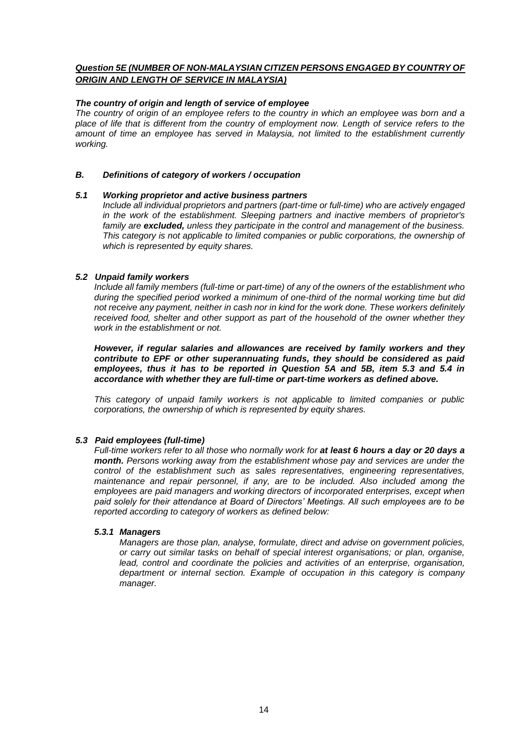# *Question 5E (NUMBER OF NON-MALAYSIAN CITIZEN PERSONS ENGAGED BY COUNTRY OF ORIGIN AND LENGTH OF SERVICE IN MALAYSIA)*

# *The country of origin and length of service of employee*

*The country of origin of an employee refers to the country in which an employee was born and a place of life that is different from the country of employment now. Length of service refers to the amount of time an employee has served in Malaysia, not limited to the establishment currently working.*

# *B. Definitions of category of workers / occupation*

## *5.1 Working proprietor and active business partners*

*Include all individual proprietors and partners (part-time or full-time) who are actively engaged in the work of the establishment. Sleeping partners and inactive members of proprietor's family are excluded, unless they participate in the control and management of the business. This category is not applicable to limited companies or public corporations, the ownership of which is represented by equity shares.*

# *5.2 Unpaid family workers*

*Include all family members (full-time or part-time) of any of the owners of the establishment who*  during the specified period worked a minimum of one-third of the normal working time but did *not receive any payment, neither in cash nor in kind for the work done. These workers definitely received food, shelter and other support as part of the household of the owner whether they work in the establishment or not.*

*However, if regular salaries and allowances are received by family workers and they contribute to EPF or other superannuating funds, they should be considered as paid employees, thus it has to be reported in Question 5A and 5B, item 5.3 and 5.4 in accordance with whether they are full-time or part-time workers as defined above.*

*This category of unpaid family workers is not applicable to limited companies or public corporations, the ownership of which is represented by equity shares.*

# *5.3 Paid employees (full-time)*

*Full-time workers refer to all those who normally work for at least 6 hours a day or 20 days a month. Persons working away from the establishment whose pay and services are under the control of the establishment such as sales representatives, engineering representatives, maintenance and repair personnel, if any, are to be included. Also included among the employees are paid managers and working directors of incorporated enterprises, except when paid solely for their attendance at Board of Directors' Meetings. All such employees are to be reported according to category of workers as defined below:*

# *5.3.1 Managers*

*Managers are those plan, analyse, formulate, direct and advise on government policies, or carry out similar tasks on behalf of special interest organisations; or plan, organise, lead, control and coordinate the policies and activities of an enterprise, organisation, department or internal section. Example of occupation in this category is company manager.*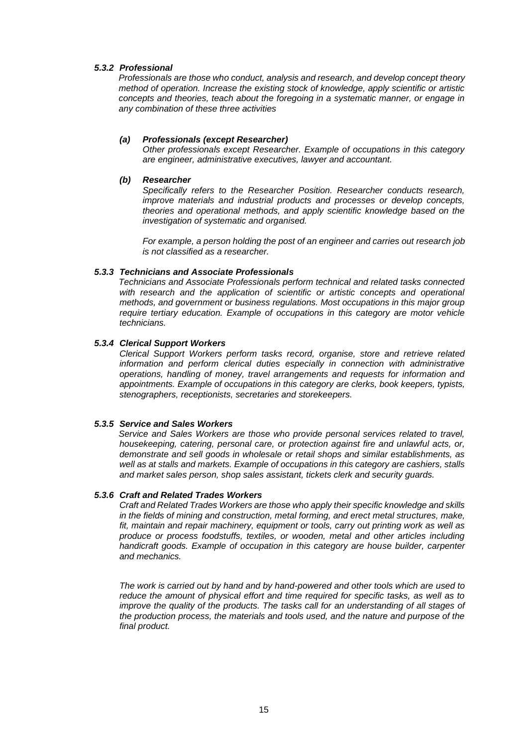# *5.3.2 Professional*

*Professionals are those who conduct, analysis and research, and develop concept theory method of operation. Increase the existing stock of knowledge, apply scientific or artistic concepts and theories, teach about the foregoing in a systematic manner, or engage in any combination of these three activities*

# *(a) Professionals (except Researcher)*

*Other professionals except Researcher. Example of occupations in this category are engineer, administrative executives, lawyer and accountant.*

## *(b) Researcher*

*Specifically refers to the Researcher Position. Researcher conducts research, improve materials and industrial products and processes or develop concepts, theories and operational methods, and apply scientific knowledge based on the investigation of systematic and organised.*

*For example, a person holding the post of an engineer and carries out research job is not classified as a researcher.* 

## *5.3.3 Technicians and Associate Professionals*

*Technicians and Associate Professionals perform technical and related tasks connected*  with research and the application of scientific or artistic concepts and operational *methods, and government or business regulations. Most occupations in this major group require tertiary education. Example of occupations in this category are motor vehicle technicians.*

# *5.3.4 Clerical Support Workers*

*Clerical Support Workers perform tasks record, organise, store and retrieve related*  information and perform clerical duties especially in connection with administrative *operations, handling of money, travel arrangements and requests for information and appointments. Example of occupations in this category are clerks, book keepers, typists, stenographers, receptionists, secretaries and storekeepers.*

# *5.3.5 Service and Sales Workers*

*Service and Sales Workers are those who provide personal services related to travel, housekeeping, catering, personal care, or protection against fire and unlawful acts, or, demonstrate and sell goods in wholesale or retail shops and similar establishments, as well as at stalls and markets. Example of occupations in this category are cashiers, stalls and market sales person, shop sales assistant, tickets clerk and security guards.*

## *5.3.6 Craft and Related Trades Workers*

*Craft and Related Trades Workers are those who apply their specific knowledge and skills in the fields of mining and construction, metal forming, and erect metal structures, make, fit, maintain and repair machinery, equipment or tools, carry out printing work as well as produce or process foodstuffs, textiles, or wooden, metal and other articles including handicraft goods. Example of occupation in this category are house builder, carpenter and mechanics.* 

*The work is carried out by hand and by hand-powered and other tools which are used to reduce the amount of physical effort and time required for specific tasks, as well as to improve the quality of the products. The tasks call for an understanding of all stages of the production process, the materials and tools used, and the nature and purpose of the final product.*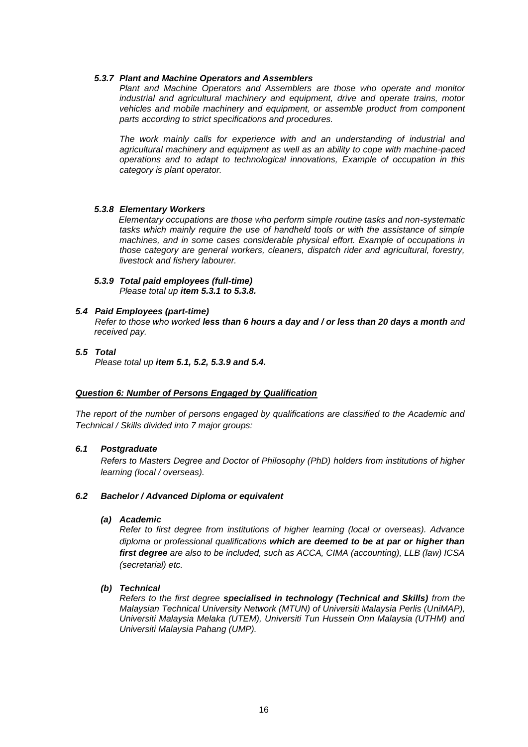# *5.3.7 Plant and Machine Operators and Assemblers*

*Plant and Machine Operators and Assemblers are those who operate and monitor industrial and agricultural machinery and equipment, drive and operate trains, motor vehicles and mobile machinery and equipment, or assemble product from component parts according to strict specifications and procedures.* 

*The work mainly calls for experience with and an understanding of industrial and agricultural machinery and equipment as well as an ability to cope with machine-paced operations and to adapt to technological innovations, Example of occupation in this category is plant operator.*

# *5.3.8 Elementary Workers*

*Elementary occupations are those who perform simple routine tasks and non-systematic*  tasks which mainly require the use of handheld tools or with the assistance of simple *machines, and in some cases considerable physical effort. Example of occupations in those category are general workers, cleaners, dispatch rider and agricultural, forestry, livestock and fishery labourer.*

*5.3.9 Total paid employees (full-time) Please total up item 5.3.1 to 5.3.8.*

## *5.4 Paid Employees (part-time)*

*Refer to those who worked less than 6 hours a day and / or less than 20 days a month and received pay.*

*5.5 Total Please total up item 5.1, 5.2, 5.3.9 and 5.4.*

## *Question 6: Number of Persons Engaged by Qualification*

*The report of the number of persons engaged by qualifications are classified to the Academic and Technical / Skills divided into 7 major groups:*

## *6.1 Postgraduate*

*Refers to Masters Degree and Doctor of Philosophy (PhD) holders from institutions of higher learning (local / overseas).*

# *6.2 Bachelor / Advanced Diploma or equivalent*

## *(a) Academic*

*Refer to first degree from institutions of higher learning (local or overseas). Advance diploma or professional qualifications which are deemed to be at par or higher than first degree are also to be included, such as ACCA, CIMA (accounting), LLB (law) ICSA (secretarial) etc.*

# *(b) Technical*

*Refers to the first degree specialised in technology (Technical and Skills) from the Malaysian Technical University Network (MTUN) of Universiti Malaysia Perlis (UniMAP), Universiti Malaysia Melaka (UTEM), Universiti Tun Hussein Onn Malaysia (UTHM) and Universiti Malaysia Pahang (UMP).*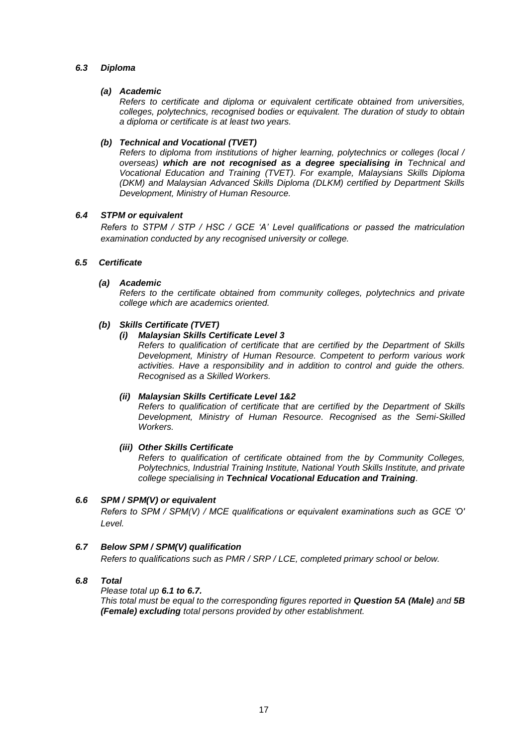# *6.3 Diploma*

# *(a) Academic*

*Refers to certificate and diploma or equivalent certificate obtained from universities, colleges, polytechnics, recognised bodies or equivalent. The duration of study to obtain a diploma or certificate is at least two years.*

# *(b) Technical and Vocational (TVET)*

*Refers to diploma from institutions of higher learning, polytechnics or colleges (local / overseas) which are not recognised as a degree specialising in Technical and Vocational Education and Training (TVET). For example, Malaysians Skills Diploma (DKM) and Malaysian Advanced Skills Diploma (DLKM) certified by Department Skills Development, Ministry of Human Resource.*

# *6.4 STPM or equivalent*

*Refers to STPM / STP / HSC / GCE 'A' Level qualifications or passed the matriculation examination conducted by any recognised university or college.*

# *6.5 Certificate*

# *(a) Academic*

*Refers to the certificate obtained from community colleges, polytechnics and private college which are academics oriented.*

# *(b) Skills Certificate (TVET)*

# *(i) Malaysian Skills Certificate Level 3*

*Refers to qualification of certificate that are certified by the Department of Skills Development, Ministry of Human Resource. Competent to perform various work activities. Have a responsibility and in addition to control and guide the others. Recognised as a Skilled Workers.*

## *(ii) Malaysian Skills Certificate Level 1&2*

*Refers to qualification of certificate that are certified by the Department of Skills Development, Ministry of Human Resource. Recognised as the Semi-Skilled Workers.*

## *(iii) Other Skills Certificate*

*Refers to qualification of certificate obtained from the by Community Colleges, Polytechnics, Industrial Training Institute, National Youth Skills Institute, and private college specialising in Technical Vocational Education and Training.*

# *6.6 SPM / SPM(V) or equivalent*

*Refers to SPM / SPM(V) / MCE qualifications or equivalent examinations such as GCE 'O' Level.*

## *6.7 Below SPM / SPM(V) qualification*

*Refers to qualifications such as PMR / SRP / LCE, completed primary school or below.* 

# *6.8 Total*

*Please total up 6.1 to 6.7.* 

*This total must be equal to the corresponding figures reported in Question 5A (Male) and 5B (Female) excluding total persons provided by other establishment.*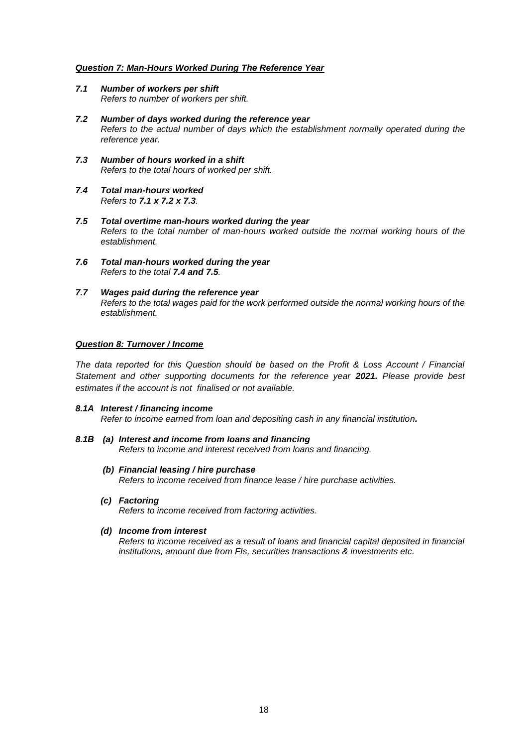# *Question 7: Man-Hours Worked During The Reference Year*

- *7.1 Number of workers per shift Refers to number of workers per shift.*
- *7.2 Number of days worked during the reference year Refers to the actual number of days which the establishment normally operated during the reference year.*
- *7.3 Number of hours worked in a shift Refers to the total hours of worked per shift.*
- *7.4 Total man-hours worked Refers to 7.1 x 7.2 x 7.3.*
- *7.5 Total overtime man-hours worked during the year Refers to the total number of man-hours worked outside the normal working hours of the establishment.*
- *7.6 Total man-hours worked during the year Refers to the total 7.4 and 7.5.*
- *7.7 Wages paid during the reference year Refers to the total wages paid for the work performed outside the normal working hours of the establishment.*

# *Question 8: Turnover / Income*

*The data reported for this Question should be based on the Profit & Loss Account / Financial Statement and other supporting documents for the reference year 2021. Please provide best estimates if the account is not finalised or not available.*

#### *8.1A Interest / financing income*

*Refer to income earned from loan and depositing cash in any financial institution.*

#### *8.1B (a) Interest and income from loans and financing Refers to income and interest received from loans and financing.*

- *(b) Financial leasing / hire purchase Refers to income received from finance lease / hire purchase activities.*
- *(c) Factoring*

*Refers to income received from factoring activities.*

## *(d) Income from interest*

*Refers to income received as a result of loans and financial capital deposited in financial institutions, amount due from FIs, securities transactions & investments etc.*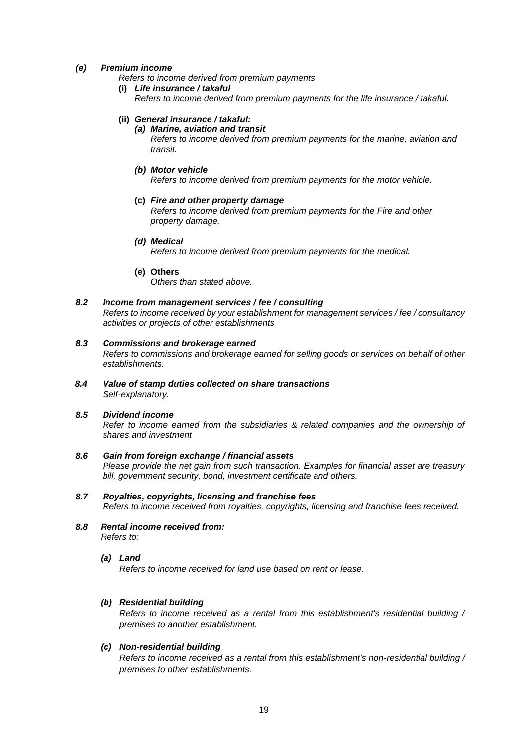# *(e) Premium income*

*Refers to income derived from premium payments*

**(i)** *Life insurance / takaful Refers to income derived from premium payments for the life insurance / takaful.*

## **(ii)** *General insurance / takaful:*

### *(a) Marine, aviation and transit*

*Refers to income derived from premium payments for the marine, aviation and transit.*

*(b) Motor vehicle Refers to income derived from premium payments for the motor vehicle.*

## **(c)** *Fire and other property damage*

*Refers to income derived from premium payments for the Fire and other property damage.*

## *(d) Medical*

*Refers to income derived from premium payments for the medical.*

## **(e) Others**

*Others than stated above.*

# *8.2 Income from management services / fee / consulting*

*Refers to income received by your establishment for management services / fee / consultancy activities or projects of other establishments*

### *8.3 Commissions and brokerage earned*

*Refers to commissions and brokerage earned for selling goods or services on behalf of other establishments.*

*8.4 Value of stamp duties collected on share transactions Self-explanatory.*

# *8.5 Dividend income*

*Refer to income earned from the subsidiaries & related companies and the ownership of shares and investment*

# *8.6 Gain from foreign exchange / financial assets Please provide the net gain from such transaction. Examples for financial asset are treasury bill, government security, bond, investment certificate and others.*

- *8.7 Royalties, copyrights, licensing and franchise fees Refers to income received from royalties, copyrights, licensing and franchise fees received.*
- *8.8 Rental income received from: Refers to:*

## *(a) Land*

*Refers to income received for land use based on rent or lease.*

## *(b) Residential building*

*Refers to income received as a rental from this establishment's residential building / premises to another establishment.*

## *(c) Non-residential building*

*Refers to income received as a rental from this establishment's non-residential building / premises to other establishments.*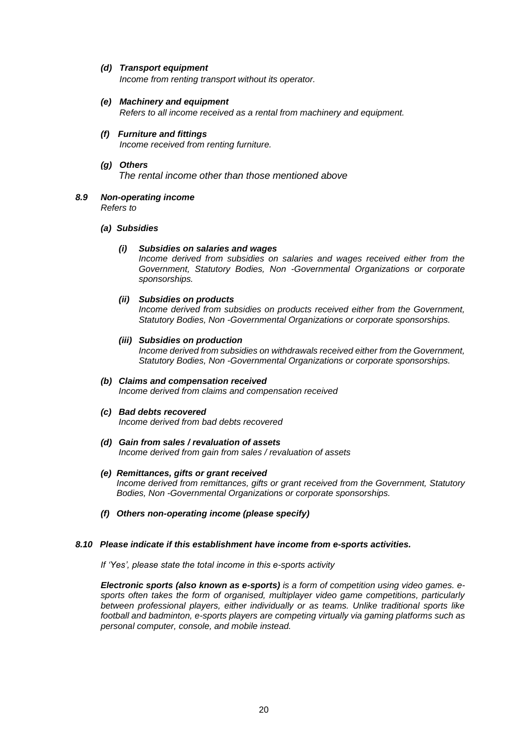# *(d) Transport equipment*

*Income from renting transport without its operator.*

- *(e) Machinery and equipment Refers to all income received as a rental from machinery and equipment.*
- *(f) Furniture and fittings Income received from renting furniture.*
- *(g) Others The rental income other than those mentioned above*
- *8.9 Non-operating income Refers to*

## *(a) Subsidies*

# *(i) Subsidies on salaries and wages*

*Income derived from subsidies on salaries and wages received either from the Government, Statutory Bodies, Non -Governmental Organizations or corporate sponsorships.*

# *(ii) Subsidies on products*

*Income derived from subsidies on products received either from the Government, Statutory Bodies, Non -Governmental Organizations or corporate sponsorships.*

## *(iii) Subsidies on production*

*Income derived from subsidies on withdrawals received either from the Government, Statutory Bodies, Non -Governmental Organizations or corporate sponsorships.*

# *(b) Claims and compensation received*

*Income derived from claims and compensation received*

## *(c) Bad debts recovered*

*Income derived from bad debts recovered*

#### *(d) Gain from sales / revaluation of assets Income derived from gain from sales / revaluation of assets*

# *(e) Remittances, gifts or grant received*

*Income derived from remittances, gifts or grant received from the Government, Statutory Bodies, Non -Governmental Organizations or corporate sponsorships.*

*(f) Others non-operating income (please specify)*

# *8.10 Please indicate if this establishment have income from e-sports activities.*

*If 'Yes', please state the total income in this e-sports activity*

*Electronic sports (also known as e-sports) is a form of competition using video games. esports often takes the form of organised, multiplayer video game competitions, particularly between professional players, either individually or as teams. Unlike traditional sports like football and badminton, e-sports players are competing virtually via gaming platforms such as personal computer, console, and mobile instead.*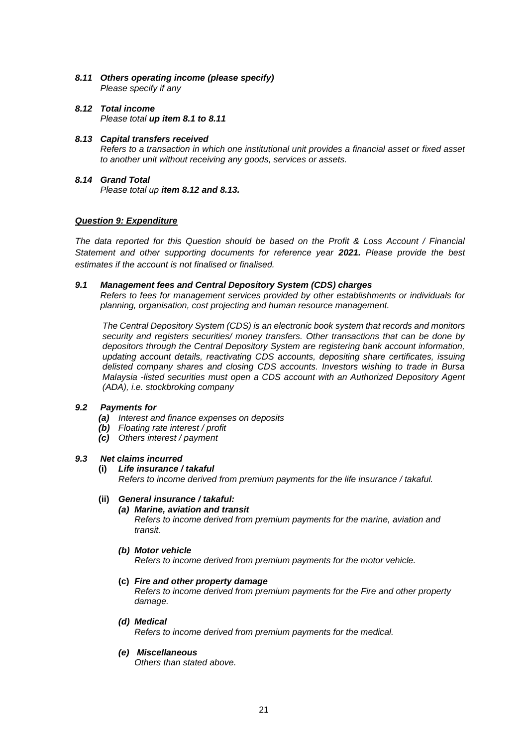- *8.11 Others operating income (please specify) Please specify if any*
- *8.12 Total income Please total up item 8.1 to 8.11*
- *8.13 Capital transfers received Refers to a transaction in which one institutional unit provides a financial asset or fixed asset to another unit without receiving any goods, services or assets.*
- *8.14 Grand Total Please total up item 8.12 and 8.13.*

# *Question 9: Expenditure*

*The data reported for this Question should be based on the Profit & Loss Account / Financial Statement and other supporting documents for reference year 2021. Please provide the best estimates if the account is not finalised or finalised.*

# *9.1 Management fees and Central Depository System (CDS) charges*

*Refers to fees for management services provided by other establishments or individuals for planning, organisation, cost projecting and human resource management.*

*The Central Depository System (CDS) is an electronic book system that records and monitors security and registers securities/ money transfers. Other transactions that can be done by depositors through the Central Depository System are registering bank account information, updating account details, reactivating CDS accounts, depositing share certificates, issuing delisted company shares and closing CDS accounts. Investors wishing to trade in Bursa Malaysia -listed securities must open a CDS account with an Authorized Depository Agent (ADA), i.e. stockbroking company*

## *9.2 Payments for*

- *(a) Interest and finance expenses on deposits*
- *(b) Floating rate interest / profit*
- *(c) Others interest / payment*

## *9.3 Net claims incurred*

# **(i)** *Life insurance / takaful*

*Refers to income derived from premium payments for the life insurance / takaful.*

# **(ii)** *General insurance / takaful:*

# *(a) Marine, aviation and transit*

*Refers to income derived from premium payments for the marine, aviation and transit.*

## *(b) Motor vehicle*

*Refers to income derived from premium payments for the motor vehicle.*

#### **(c)** *Fire and other property damage*

*Refers to income derived from premium payments for the Fire and other property damage.*

*(d) Medical* 

*Refers to income derived from premium payments for the medical.*

## *(e) Miscellaneous*

*Others than stated above.*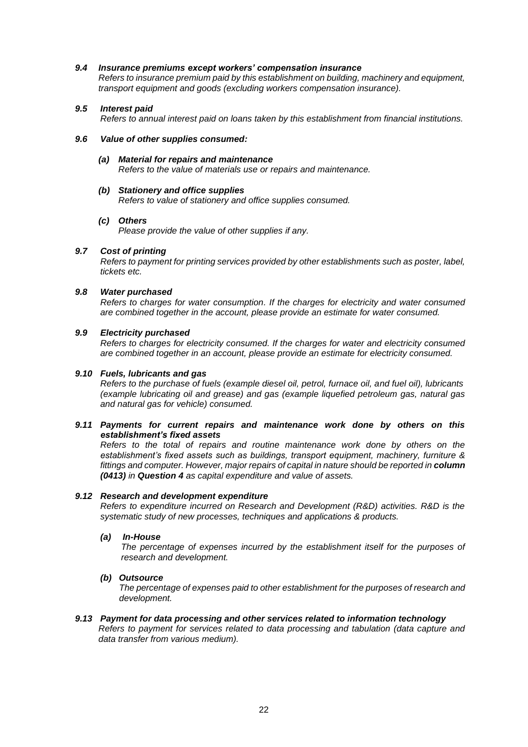## *9.4 Insurance premiums except workers' compensation insurance*

*Refers to insurance premium paid by this establishment on building, machinery and equipment, transport equipment and goods (excluding workers compensation insurance).*

# *9.5 Interest paid*

*Refers to annual interest paid on loans taken by this establishment from financial institutions.*

## *9.6 Value of other supplies consumed:*

*(a) Material for repairs and maintenance Refers to the value of materials use or repairs and maintenance.*

## *(b) Stationery and office supplies*

 *Refers to value of stationery and office supplies consumed.*

## *(c) Others*

*Please provide the value of other supplies if any.*

# *9.7 Cost of printing*

*Refers to payment for printing services provided by other establishments such as poster, label, tickets etc.*

## *9.8 Water purchased*

*Refers to charges for water consumption. If the charges for electricity and water consumed are combined together in the account, please provide an estimate for water consumed.*

## *9.9 Electricity purchased*

*Refers to charges for electricity consumed. If the charges for water and electricity consumed are combined together in an account, please provide an estimate for electricity consumed.*

## *9.10 Fuels, lubricants and gas*

*Refers to the purchase of fuels (example diesel oil, petrol, furnace oil, and fuel oil), lubricants (example lubricating oil and grease) and gas (example liquefied petroleum gas, natural gas and natural gas for vehicle) consumed.* 

## *9.11 Payments for current repairs and maintenance work done by others on this establishment's fixed assets*

*Refers to the total of repairs and routine maintenance work done by others on the establishment's fixed assets such as buildings, transport equipment, machinery, furniture &* fittings and computer. However, major repairs of capital in nature should be reported in **column** *(0413) in Question 4 as capital expenditure and value of assets.* 

## *9.12 Research and development expenditure*

*Refers to expenditure incurred on Research and Development (R&D) activities. R&D is the systematic study of new processes, techniques and applications & products.*

## *(a) In-House*

*The percentage of expenses incurred by the establishment itself for the purposes of research and development.*

## *(b) Outsource*

*The percentage of expenses paid to other establishment for the purposes of research and development.*

## *9.13 Payment for data processing and other services related to information technology*

*Refers to payment for services related to data processing and tabulation (data capture and data transfer from various medium).*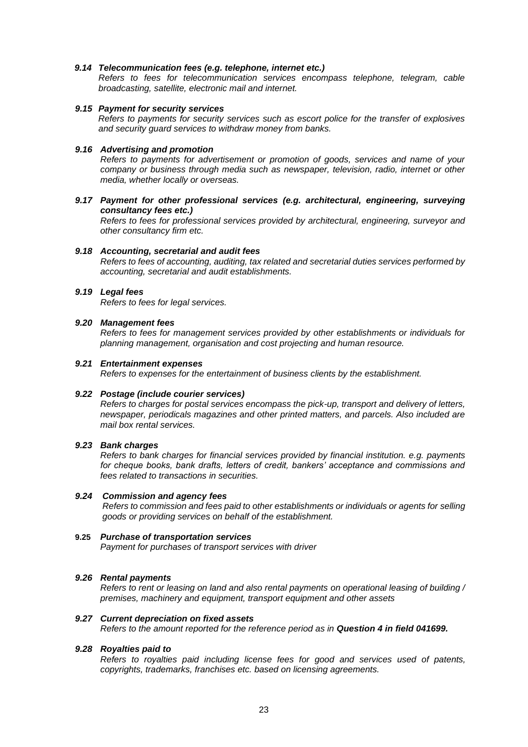### *9.14 Telecommunication fees (e.g. telephone, internet etc.)*

*Refers to fees for telecommunication services encompass telephone, telegram, cable broadcasting, satellite, electronic mail and internet.*

#### *9.15 Payment for security services*

*Refers to payments for security services such as escort police for the transfer of explosives and security guard services to withdraw money from banks.*

#### *9.16 Advertising and promotion*

*Refers to payments for advertisement or promotion of goods, services and name of your company or business through media such as newspaper, television, radio, internet or other media, whether locally or overseas.*

*9.17 Payment for other professional services (e.g. architectural, engineering, surveying consultancy fees etc.)*

*Refers to fees for professional services provided by architectural, engineering, surveyor and other consultancy firm etc.*

#### *9.18 Accounting, secretarial and audit fees*

*Refers to fees of accounting, auditing, tax related and secretarial duties services performed by accounting, secretarial and audit establishments.*

### *9.19 Legal fees*

*Refers to fees for legal services.*

#### *9.20 Management fees*

*Refers to fees for management services provided by other establishments or individuals for planning management, organisation and cost projecting and human resource.*

### *9.21 Entertainment expenses*

*Refers to expenses for the entertainment of business clients by the establishment.*

## *9.22 Postage (include courier services)*

*Refers to charges for postal services encompass the pick-up, transport and delivery of letters, newspaper, periodicals magazines and other printed matters, and parcels. Also included are mail box rental services.*

#### *9.23 Bank charges*

*Refers to bank charges for financial services provided by financial institution. e.g. payments for cheque books, bank drafts, letters of credit, bankers' acceptance and commissions and fees related to transactions in securities.*

#### *9.24 Commission and agency fees*

*Refers to commission and fees paid to other establishments or individuals or agents for selling goods or providing services on behalf of the establishment.*

#### **9.25** *Purchase of transportation services*

*Payment for purchases of transport services with driver*

#### *9.26 Rental payments*

*Refers to rent or leasing on land and also rental payments on operational leasing of building / premises, machinery and equipment, transport equipment and other assets*

#### *9.27 Current depreciation on fixed assets*

*Refers to the amount reported for the reference period as in Question 4 in field 041699.*

#### *9.28 Royalties paid to*

*Refers to royalties paid including license fees for good and services used of patents, copyrights, trademarks, franchises etc. based on licensing agreements.*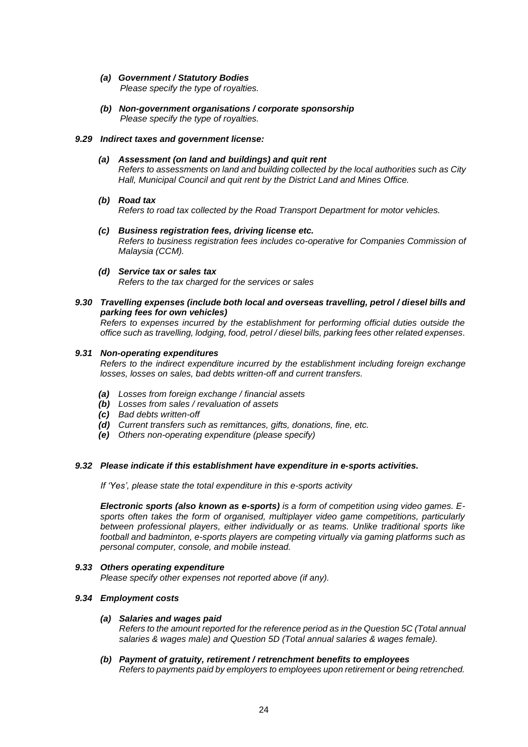# *(a) Government / Statutory Bodies*

*Please specify the type of royalties.*

*(b) Non-government organisations / corporate sponsorship Please specify the type of royalties.*

## *9.29 Indirect taxes and government license:*

# *(a) Assessment (on land and buildings) and quit rent*

*Refers to assessments on land and building collected by the local authorities such as City Hall, Municipal Council and quit rent by the District Land and Mines Office.*

*(b) Road tax*

*Refers to road tax collected by the Road Transport Department for motor vehicles.*

- *(c) Business registration fees, driving license etc. Refers to business registration fees includes co-operative for Companies Commission of Malaysia (CCM).*
- *(d) Service tax or sales tax Refers to the tax charged for the services or sales*

# *9.30 Travelling expenses (include both local and overseas travelling, petrol / diesel bills and parking fees for own vehicles)*

*Refers to expenses incurred by the establishment for performing official duties outside the office such as travelling, lodging, food, petrol / diesel bills, parking fees other related expenses.*

## *9.31 Non-operating expenditures*

*Refers to the indirect expenditure incurred by the establishment including foreign exchange losses, losses on sales, bad debts written-off and current transfers.*

- *(a) Losses from foreign exchange / financial assets*
- *(b) Losses from sales / revaluation of assets*
- *(c) Bad debts written-off*
- *(d) Current transfers such as remittances, gifts, donations, fine, etc.*
- *(e) Others non-operating expenditure (please specify)*

## *9.32 Please indicate if this establishment have expenditure in e-sports activities.*

*If 'Yes', please state the total expenditure in this e-sports activity*

*Electronic sports (also known as e-sports) is a form of competition using video games. Esports often takes the form of organised, multiplayer video game competitions, particularly between professional players, either individually or as teams. Unlike traditional sports like football and badminton, e-sports players are competing virtually via gaming platforms such as personal computer, console, and mobile instead.*

## *9.33 Others operating expenditure*

*Please specify other expenses not reported above (if any).*

## *9.34 Employment costs*

## *(a) Salaries and wages paid*

*Refers to the amount reported for the reference period as in the Question 5C (Total annual salaries & wages male) and Question 5D (Total annual salaries & wages female).*

#### *(b) Payment of gratuity, retirement / retrenchment benefits to employees Refers to payments paid by employers to employees upon retirement or being retrenched.*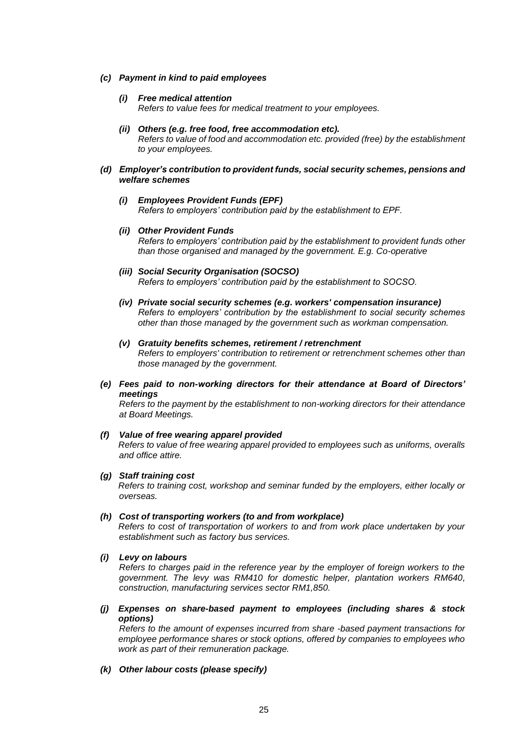### *(c) Payment in kind to paid employees*

# *(i) Free medical attention*

*Refers to value fees for medical treatment to your employees.* 

*(ii) Others (e.g. free food, free accommodation etc).*

*Refers to value of food and accommodation etc. provided (free) by the establishment to your employees.* 

- *(d) Employer's contribution to provident funds, social security schemes, pensions and welfare schemes*
	- *(i) Employees Provident Funds (EPF) Refers to employers' contribution paid by the establishment to EPF.*
	- *(ii) Other Provident Funds Refers to employers' contribution paid by the establishment to provident funds other than those organised and managed by the government. E.g. Co-operative*
	- *(iii) Social Security Organisation (SOCSO) Refers to employers' contribution paid by the establishment to SOCSO.*
	- *(iv) Private social security schemes (e.g. workers' compensation insurance) Refers to employers' contribution by the establishment to social security schemes other than those managed by the government such as workman compensation.*
	- *(v) Gratuity benefits schemes, retirement / retrenchment Refers to employers' contribution to retirement or retrenchment schemes other than those managed by the government.*
- *(e) Fees paid to non-working directors for their attendance at Board of Directors' meetings*

*Refers to the payment by the establishment to non-working directors for their attendance at Board Meetings.*

## *(f) Value of free wearing apparel provided Refers to value of free wearing apparel provided to employees such as uniforms, overalls*

*and office attire.*

*(g) Staff training cost*

*Refers to training cost, workshop and seminar funded by the employers, either locally or overseas.*

*(h) Cost of transporting workers (to and from workplace)*

*Refers to cost of transportation of workers to and from work place undertaken by your establishment such as factory bus services.*

*(i) Levy on labours*

*Refers to charges paid in the reference year by the employer of foreign workers to the government. The levy was RM410 for domestic helper, plantation workers RM640, construction, manufacturing services sector RM1,850.*

*(j) Expenses on share-based payment to employees (including shares & stock options)*

*Refers to the amount of expenses incurred from share -based payment transactions for employee performance shares or stock options, offered by companies to employees who work as part of their remuneration package.*

*(k) Other labour costs (please specify)*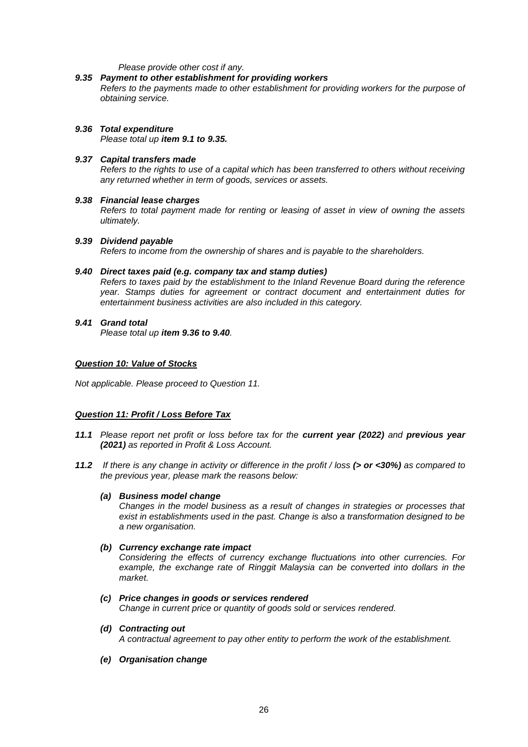### *Please provide other cost if any.*

## *9.35 Payment to other establishment for providing workers*

*Refers to the payments made to other establishment for providing workers for the purpose of obtaining service.*

# *9.36 Total expenditure*

*Please total up item 9.1 to 9.35.*

### *9.37 Capital transfers made*

*Refers to the rights to use of a capital which has been transferred to others without receiving any returned whether in term of goods, services or assets.*

#### *9.38 Financial lease charges*

*Refers to total payment made for renting or leasing of asset in view of owning the assets ultimately.*

#### *9.39 Dividend payable*

*Refers to income from the ownership of shares and is payable to the shareholders.*

#### *9.40 Direct taxes paid (e.g. company tax and stamp duties)*

*Refers to taxes paid by the establishment to the Inland Revenue Board during the reference year. Stamps duties for agreement or contract document and entertainment duties for entertainment business activities are also included in this category.*

# *9.41 Grand total Please total up item 9.36 to 9.40.*

## *Question 10: Value of Stocks*

*Not applicable. Please proceed to Question 11.*

## *Question 11: Profit / Loss Before Tax*

- *11.1 Please report net profit or loss before tax for the current year (2022) and previous year (2021) as reported in Profit & Loss Account.*
- *11.2 If there is any change in activity or difference in the profit / loss (> or <30%) as compared to the previous year, please mark the reasons below:*

#### *(a) Business model change*

*Changes in the model business as a result of changes in strategies or processes that exist in establishments used in the past. Change is also a transformation designed to be a new organisation.*

## *(b) Currency exchange rate impact*

*Considering the effects of currency exchange fluctuations into other currencies. For example, the exchange rate of Ringgit Malaysia can be converted into dollars in the market.*

- *(c) Price changes in goods or services rendered Change in current price or quantity of goods sold or services rendered.*
- *(d) Contracting out*

*A contractual agreement to pay other entity to perform the work of the establishment.*

*(e) Organisation change*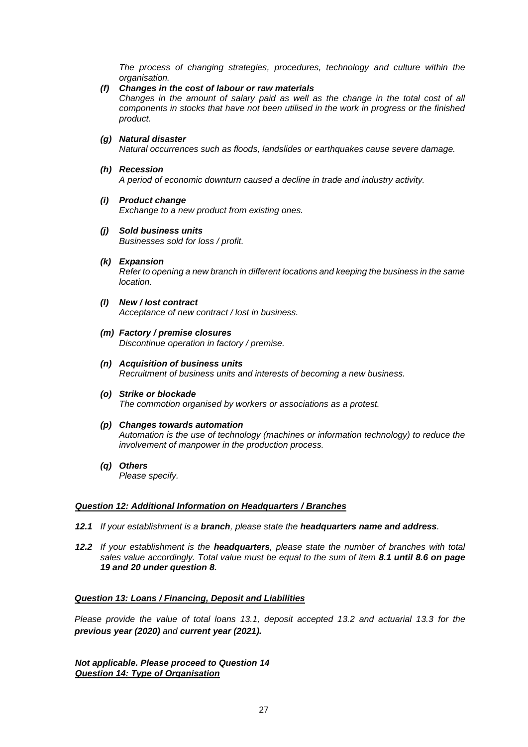*The process of changing strategies, procedures, technology and culture within the organisation.*

*(f) Changes in the cost of labour or raw materials*

*Changes in the amount of salary paid as well as the change in the total cost of all components in stocks that have not been utilised in the work in progress or the finished product.*

*(g) Natural disaster*

*Natural occurrences such as floods, landslides or earthquakes cause severe damage.*

*(h) Recession*

*A period of economic downturn caused a decline in trade and industry activity.*

*(i) Product change*

*Exchange to a new product from existing ones.*

- *(j) Sold business units Businesses sold for loss / profit.*
- *(k) Expansion Refer to opening a new branch in different locations and keeping the business in the same location.*
- *(l) New / lost contract Acceptance of new contract / lost in business.*
- *(m) Factory / premise closures Discontinue operation in factory / premise.*
- *(n) Acquisition of business units Recruitment of business units and interests of becoming a new business.*
- *(o) Strike or blockade The commotion organised by workers or associations as a protest.*
- *(p) Changes towards automation Automation is the use of technology (machines or information technology) to reduce the involvement of manpower in the production process.*
- *(q) Others Please specify.*

## *Question 12: Additional Information on Headquarters / Branches*

- *12.1 If your establishment is a branch, please state the headquarters name and address.*
- *12.2 If your establishment is the headquarters, please state the number of branches with total sales value accordingly. Total value must be equal to the sum of item 8.1 until 8.6 on page 19 and 20 under question 8.*

#### *Question 13: Loans / Financing, Deposit and Liabilities*

*Please provide the value of total loans 13.1, deposit accepted 13.2 and actuarial 13.3 for the previous year (2020) and current year (2021).*

*Not applicable. Please proceed to Question 14 Question 14: Type of Organisation*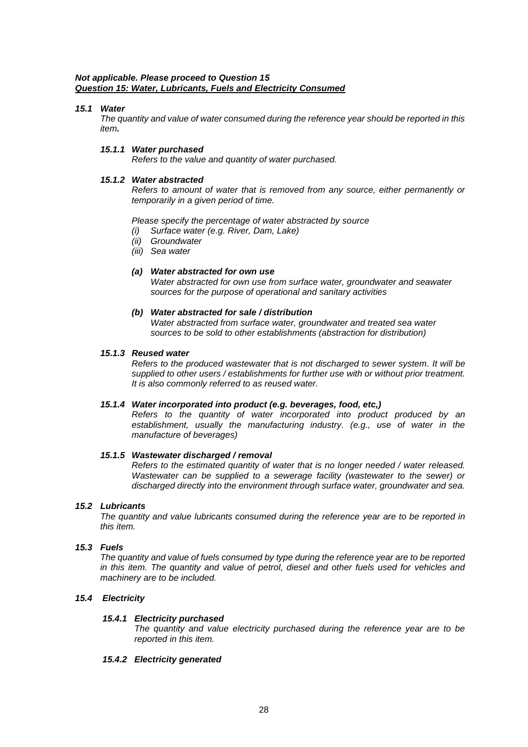# *Not applicable. Please proceed to Question 15 Question 15: Water, Lubricants, Fuels and Electricity Consumed*

# *15.1 Water*

*The quantity and value of water consumed during the reference year should be reported in this item.* 

# *15.1.1 Water purchased*

*Refers to the value and quantity of water purchased.*

# *15.1.2 Water abstracted*

*Refers to amount of water that is removed from any source, either permanently or temporarily in a given period of time.*

*Please specify the percentage of water abstracted by source*

- *(i) Surface water (e.g. River, Dam, Lake)*
- *(ii) Groundwater*
- *(iii) Sea water*

# *(a) Water abstracted for own use*

*Water abstracted for own use from surface water, groundwater and seawater sources for the purpose of operational and sanitary activities*

# *(b) Water abstracted for sale / distribution*

*Water abstracted from surface water, groundwater and treated sea water sources to be sold to other establishments (abstraction for distribution)*

## *15.1.3 Reused water*

*Refers to the produced wastewater that is not discharged to sewer system. It will be supplied to other users / establishments for further use with or without prior treatment. It is also commonly referred to as reused water.*

## *15.1.4 Water incorporated into product (e.g. beverages, food, etc,)*

*Refers to the quantity of water incorporated into product produced by an establishment, usually the manufacturing industry. (e.g., use of water in the manufacture of beverages)*

## *15.1.5 Wastewater discharged / removal*

*Refers to the estimated quantity of water that is no longer needed / water released. Wastewater can be supplied to a sewerage facility (wastewater to the sewer) or discharged directly into the environment through surface water, groundwater and sea.*

## *15.2 Lubricants*

*The quantity and value lubricants consumed during the reference year are to be reported in this item.*

# *15.3 Fuels*

*The quantity and value of fuels consumed by type during the reference year are to be reported in this item. The quantity and value of petrol, diesel and other fuels used for vehicles and machinery are to be included.*

# *15.4 Electricity*

## *15.4.1 Electricity purchased*

*The quantity and value electricity purchased during the reference year are to be reported in this item.*

## *15.4.2 Electricity generated*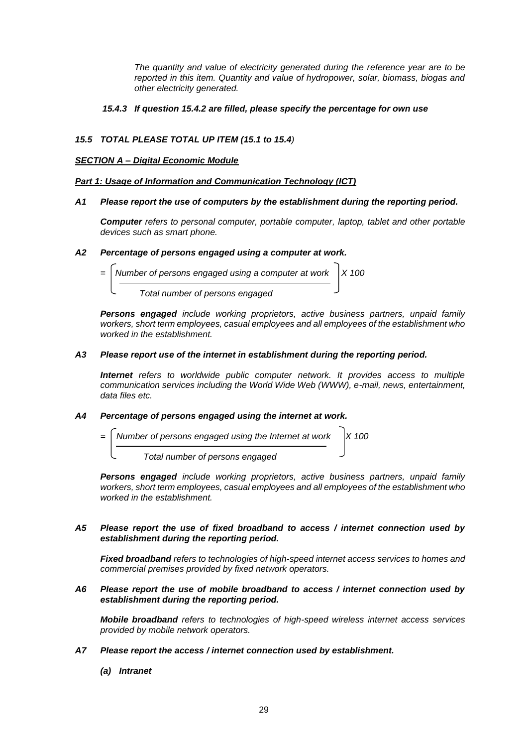*The quantity and value of electricity generated during the reference year are to be reported in this item. Quantity and value of hydropower, solar, biomass, biogas and other electricity generated.*

# *15.4.3 If question 15.4.2 are filled, please specify the percentage for own use*

# *15.5 TOTAL PLEASE TOTAL UP ITEM (15.1 to 15.4)*

# *SECTION A – Digital Economic Module*

# *Part 1: Usage of Information and Communication Technology (ICT)*

## *A1 Please report the use of computers by the establishment during the reporting period.*

*Computer refers to personal computer, portable computer, laptop, tablet and other portable devices such as smart phone.*

# *A2 Percentage of persons engaged using a computer at work.*



*Persons engaged include working proprietors, active business partners, unpaid family workers, short term employees, casual employees and all employees of the establishment who worked in the establishment.*

# *A3 Please report use of the internet in establishment during the reporting period.*

**Internet** refers to worldwide public computer network. It provides access to multiple *communication services including the World Wide Web (WWW), e-mail, news, entertainment, data files etc.*

# *A4 Percentage of persons engaged using the internet at work.*



*Persons engaged include working proprietors, active business partners, unpaid family workers, short term employees, casual employees and all employees of the establishment who worked in the establishment.*

## *A5 Please report the use of fixed broadband to access / internet connection used by establishment during the reporting period.*

*Fixed broadband refers to technologies of high-speed internet access services to homes and commercial premises provided by fixed network operators.* 

*A6 Please report the use of mobile broadband to access / internet connection used by establishment during the reporting period.*

*Mobile broadband refers to technologies of high-speed wireless internet access services provided by mobile network operators.*

- *A7 Please report the access / internet connection used by establishment.*
	- *(a) Intranet*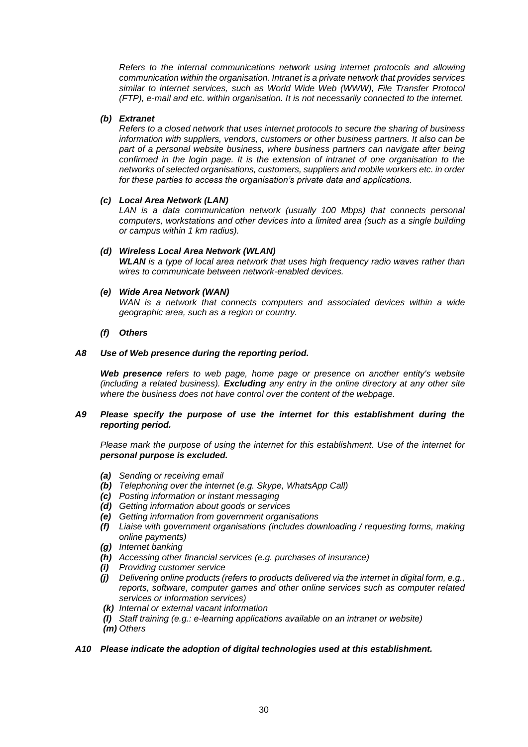*Refers to the internal communications network using internet protocols and allowing communication within the organisation. Intranet is a private network that provides services similar to internet services, such as World Wide Web (WWW), File Transfer Protocol (FTP), e-mail and etc. within organisation. It is not necessarily connected to the internet.*

# *(b) Extranet*

*Refers to a closed network that uses internet protocols to secure the sharing of business information with suppliers, vendors, customers or other business partners. It also can be part of a personal website business, where business partners can navigate after being confirmed in the login page. It is the extension of intranet of one organisation to the networks of selected organisations, customers, suppliers and mobile workers etc. in order for these parties to access the organisation's private data and applications.*

*(c) Local Area Network (LAN)*

*LAN is a data communication network (usually 100 Mbps) that connects personal computers, workstations and other devices into a limited area (such as a single building or campus within 1 km radius).*

# *(d) Wireless Local Area Network (WLAN)*

*WLAN is a type of local area network that uses high frequency radio waves rather than wires to communicate between network-enabled devices.*

# *(e) Wide Area Network (WAN)*

*WAN is a network that connects computers and associated devices within a wide geographic area, such as a region or country.*

# *(f) Others*

# *A8 Use of Web presence during the reporting period.*

*Web presence refers to web page, home page or presence on another entity's website (including a related business). Excluding any entry in the online directory at any other site where the business does not have control over the content of the webpage.*

# *A9 Please specify the purpose of use the internet for this establishment during the reporting period.*

*Please mark the purpose of using the internet for this establishment. Use of the internet for personal purpose is excluded.*

- *(a) Sending or receiving email*
- *(b) Telephoning over the internet (e.g. Skype, WhatsApp Call)*
- *(c) Posting information or instant messaging*
- *(d) Getting information about goods or services*
- *(e) Getting information from government organisations*
- *(f) Liaise with government organisations (includes downloading / requesting forms, making online payments)*
- *(g) Internet banking*
- *(h) Accessing other financial services (e.g. purchases of insurance)*
- *(i) Providing customer service*
- *(j) Delivering online products (refers to products delivered via the internet in digital form, e.g., reports, software, computer games and other online services such as computer related services or information services)*
- *(k) Internal or external vacant information*
- *(l) Staff training (e.g.: e-learning applications available on an intranet or website)*
- *(m) Others*

## *A10 Please indicate the adoption of digital technologies used at this establishment.*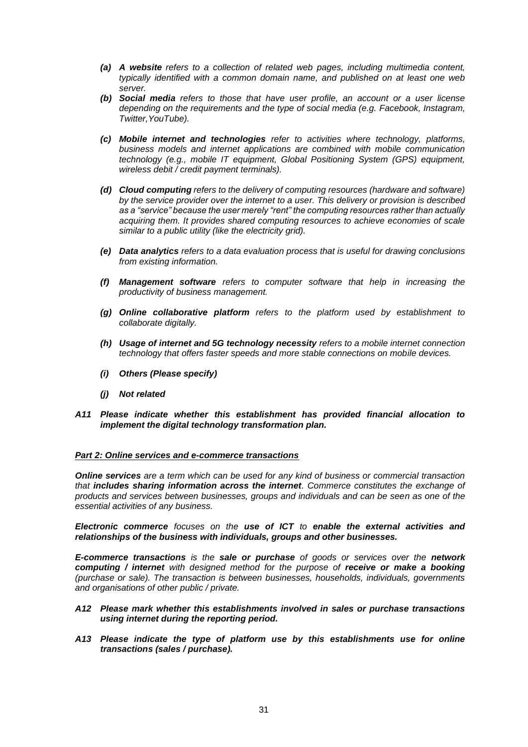- *(a) A website refers to a collection of related web pages, including multimedia content, typically identified with a common domain name, and published on at least one web server.*
- *(b) Social media refers to those that have user profile, an account or a user license depending on the requirements and the type of social media (e.g. Facebook, Instagram, Twitter,YouTube).*
- *(c) Mobile internet and technologies refer to activities where technology, platforms, business models and internet applications are combined with mobile communication technology (e.g., mobile IT equipment, Global Positioning System (GPS) equipment, wireless debit / credit payment terminals).*
- *(d) Cloud computing refers to the delivery of computing resources (hardware and software) by the service provider over the internet to a user. This delivery or provision is described as a "service" because the user merely "rent" the computing resources rather than actually acquiring them. It provides shared computing resources to achieve economies of scale similar to a public utility (like the electricity grid).*
- *(e) Data analytics refers to a data evaluation process that is useful for drawing conclusions from existing information.*
- *(f) Management software refers to computer software that help in increasing the productivity of business management.*
- *(g) Online collaborative platform refers to the platform used by establishment to collaborate digitally.*
- *(h) Usage of internet and 5G technology necessity refers to a mobile internet connection technology that offers faster speeds and more stable connections on mobile devices.*
- *(i) Others (Please specify)*
- *(j) Not related*
- *A11 Please indicate whether this establishment has provided financial allocation to implement the digital technology transformation plan.*

## *Part 2: Online services and e-commerce transactions*

*Online services are a term which can be used for any kind of business or commercial transaction that includes sharing information across the internet. Commerce constitutes the exchange of products and services between businesses, groups and individuals and can be seen as one of the essential activities of any business.* 

*Electronic commerce focuses on the use of ICT to enable the external activities and relationships of the business with individuals, groups and other businesses.*

*E-commerce transactions is the sale or purchase of goods or services over the network computing / internet with designed method for the purpose of receive or make a booking (purchase or sale). The transaction is between businesses, households, individuals, governments and organisations of other public / private.* 

- *A12 Please mark whether this establishments involved in sales or purchase transactions using internet during the reporting period.*
- *A13 Please indicate the type of platform use by this establishments use for online transactions (sales / purchase).*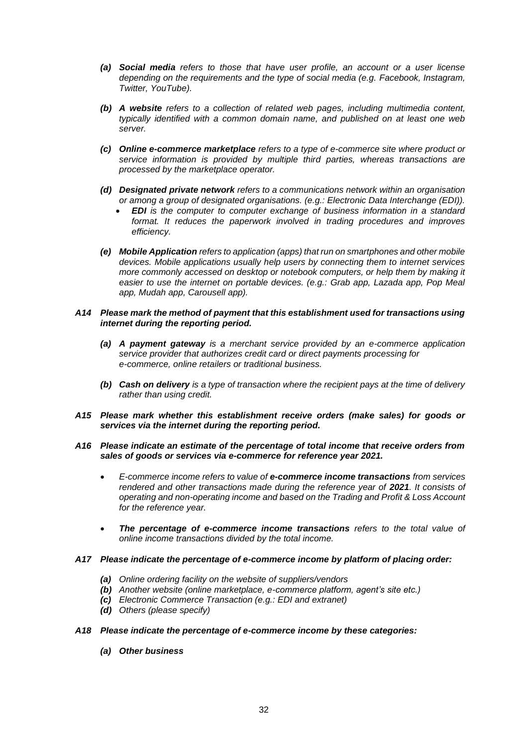- *(a) Social media refers to those that have user profile, an account or a user license depending on the requirements and the type of social media (e.g. Facebook, Instagram, Twitter, YouTube).*
- *(b) A website refers to a collection of related web pages, including multimedia content, typically identified with a common domain name, and published on at least one web server.*
- *(c) Online e-commerce marketplace refers to a type of e-commerce site where product or service information is provided by multiple third parties, whereas transactions are processed by the marketplace operator.*
- *(d) Designated private network refers to a communications network within an organisation or among a group of designated organisations. (e.g.: Electronic Data Interchange (EDI)).*
	- *EDI is the computer to computer exchange of business information in a standard format. It reduces the paperwork involved in trading procedures and improves efficiency.*
- *(e) Mobile Application refers to application (apps) that run on smartphones and other mobile devices. Mobile applications usually help users by connecting them to internet services more commonly accessed on desktop or notebook computers, or help them by making it easier to use the internet on portable devices. (e.g.: Grab app, Lazada app, Pop Meal app, Mudah app, Carousell app).*

# *A14 Please mark the method of payment that this establishment used for transactions using internet during the reporting period.*

- *(a) A payment gateway is a merchant service provided by an e-commerce application service provider that authorizes credit card or direct payments processing for e-commerce, online retailers or traditional business.*
- *(b) Cash on delivery is a type of transaction where the recipient pays at the time of delivery rather than using credit.*
- *A15 Please mark whether this establishment receive orders (make sales) for goods or services via the internet during the reporting period.*

## *A16 Please indicate an estimate of the percentage of total income that receive orders from sales of goods or services via e-commerce for reference year 2021.*

- *E-commerce income refers to value of e-commerce income transactions from services rendered and other transactions made during the reference year of 2021. It consists of operating and non-operating income and based on the Trading and Profit & Loss Account for the reference year.*
- *The percentage of e-commerce income transactions refers to the total value of online income transactions divided by the total income.*

## *A17 Please indicate the percentage of e-commerce income by platform of placing order:*

- *(a) Online ordering facility on the website of suppliers/vendors*
- *(b) Another website (online marketplace, e-commerce platform, agent's site etc.)*
- *(c) Electronic Commerce Transaction (e.g.: EDI and extranet)*
- *(d) Others (please specify)*

## *A18 Please indicate the percentage of e-commerce income by these categories:*

*(a) Other business*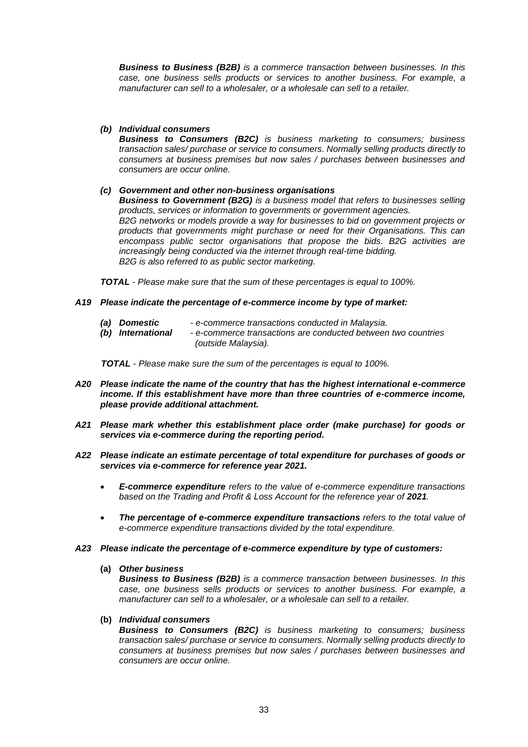*Business to Business (B2B) is a commerce transaction between businesses. In this case, one business sells products or services to another business. For example, a manufacturer can sell to a wholesaler, or a wholesale can sell to a retailer.*

# *(b) Individual consumers*

*Business to Consumers (B2C) is business marketing to consumers; business transaction sales/ purchase or service to consumers. Normally selling products directly to consumers at business premises but now sales / purchases between businesses and consumers are occur online.*

# *(c) Government and other non-business organisations*

*Business to Government (B2G) is a business model that refers to businesses selling products, services or information to governments or government agencies. B2G networks or models provide a way for businesses to bid on government projects or products that governments might purchase or need for their Organisations. This can encompass public sector organisations that propose the bids. B2G activities are increasingly being conducted via the internet through real-time bidding. B2G is also referred to as public sector marketing.*

*TOTAL - Please make sure that the sum of these percentages is equal to 100%.*

## *A19 Please indicate the percentage of e-commerce income by type of market:*

- *(a) Domestic - e-commerce transactions conducted in Malaysia.*
- *(b) International - e-commerce transactions are conducted between two countries (outside Malaysia).*

 *TOTAL - Please make sure the sum of the percentages is equal to 100%.*

- *A20 Please indicate the name of the country that has the highest international e-commerce income. If this establishment have more than three countries of e-commerce income, please provide additional attachment.*
- *A21 Please mark whether this establishment place order (make purchase) for goods or services via e-commerce during the reporting period.*
- *A22 Please indicate an estimate percentage of total expenditure for purchases of goods or services via e-commerce for reference year 2021.*
	- *E-commerce expenditure refers to the value of e-commerce expenditure transactions*  based on the Trading and Profit & Loss Account for the reference year of 2021.
	- *The percentage of e-commerce expenditure transactions refers to the total value of e-commerce expenditure transactions divided by the total expenditure.*

## *A23 Please indicate the percentage of e-commerce expenditure by type of customers:*

### **(a)** *Other business*

*Business to Business (B2B) is a commerce transaction between businesses. In this case, one business sells products or services to another business. For example, a manufacturer can sell to a wholesaler, or a wholesale can sell to a retailer.*

## **(b)** *Individual consumers*

*Business to Consumers (B2C) is business marketing to consumers; business transaction sales/ purchase or service to consumers. Normally selling products directly to consumers at business premises but now sales / purchases between businesses and consumers are occur online.*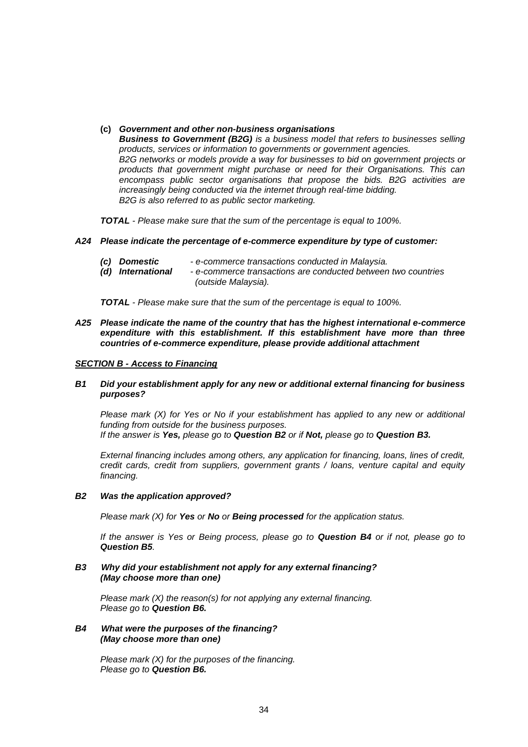#### **(c)** *Government and other non-business organisations*

*Business to Government (B2G) is a business model that refers to businesses selling products, services or information to governments or government agencies. B2G networks or models provide a way for businesses to bid on government projects or products that government might purchase or need for their Organisations. This can encompass public sector organisations that propose the bids. B2G activities are increasingly being conducted via the internet through real-time bidding. B2G is also referred to as public sector marketing.*

*TOTAL - Please make sure that the sum of the percentage is equal to 100%.*

#### *A24 Please indicate the percentage of e-commerce expenditure by type of customer:*

- *(c) Domestic - e-commerce transactions conducted in Malaysia.*
	- *(d) International - e-commerce transactions are conducted between two countries (outside Malaysia).*

*TOTAL - Please make sure that the sum of the percentage is equal to 100%.*

*A25 Please indicate the name of the country that has the highest international e-commerce expenditure with this establishment. If this establishment have more than three countries of e-commerce expenditure, please provide additional attachment*

#### *SECTION B - Access to Financing*

# *B1 Did your establishment apply for any new or additional external financing for business purposes?*

 *Please mark (X) for Yes or No if your establishment has applied to any new or additional funding from outside for the business purposes. If the answer is Yes, please go to Question B2 or if Not, please go to Question B3.*

*External financing includes among others, any application for financing, loans, lines of credit, credit cards, credit from suppliers, government grants / loans, venture capital and equity financing.*

#### *B2 Was the application approved?*

*Please mark (X) for Yes or No or Being processed for the application status.*

*If the answer is Yes or Being process, please go to Question B4 or if not, please go to Question B5.*

#### *B3 Why did your establishment not apply for any external financing? (May choose more than one)*

*Please mark (X) the reason(s) for not applying any external financing. Please go to Question B6.*

### *B4 What were the purposes of the financing? (May choose more than one)*

*Please mark (X) for the purposes of the financing. Please go to Question B6.*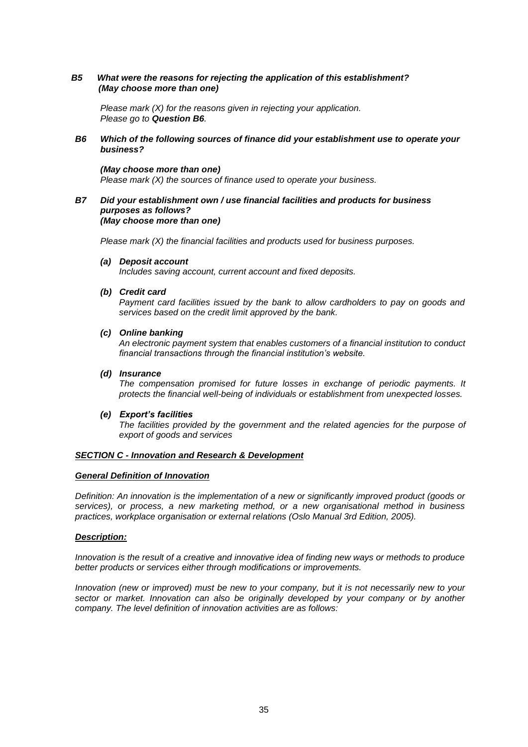## *B5 What were the reasons for rejecting the application of this establishment? (May choose more than one)*

*Please mark (X) for the reasons given in rejecting your application. Please go to Question B6.*

## *B6 Which of the following sources of finance did your establishment use to operate your business?*

## *(May choose more than one)*

*Please mark (X) the sources of finance used to operate your business.*

#### *B7 Did your establishment own / use financial facilities and products for business purposes as follows? (May choose more than one)*

*Please mark (X) the financial facilities and products used for business purposes.* 

*(a) Deposit account*

*Includes saving account, current account and fixed deposits.*

#### *(b) Credit card*

*Payment card facilities issued by the bank to allow cardholders to pay on goods and services based on the credit limit approved by the bank.*

#### *(c) Online banking*

*An electronic payment system that enables customers of a financial institution to conduct financial transactions through the financial institution's website.*

# *(d) Insurance*

*The compensation promised for future losses in exchange of periodic payments. It protects the financial well-being of individuals or establishment from unexpected losses.*

#### *(e) Export's facilities*

*The facilities provided by the government and the related agencies for the purpose of export of goods and services*

#### *SECTION C - Innovation and Research & Development*

#### *General Definition of Innovation*

*Definition: An innovation is the implementation of a new or significantly improved product (goods or services), or process, a new marketing method, or a new organisational method in business practices, workplace organisation or external relations (Oslo Manual 3rd Edition, 2005).*

## *Description:*

*Innovation is the result of a creative and innovative idea of finding new ways or methods to produce better products or services either through modifications or improvements.*

*Innovation (new or improved) must be new to your company, but it is not necessarily new to your sector or market. Innovation can also be originally developed by your company or by another company. The level definition of innovation activities are as follows:*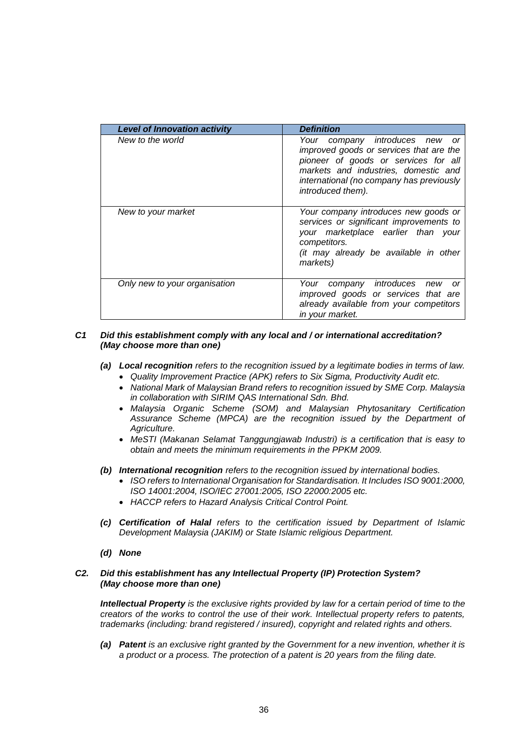| <b>Level of Innovation activity</b> | <b>Definition</b>                                                                                                                                                                                                             |
|-------------------------------------|-------------------------------------------------------------------------------------------------------------------------------------------------------------------------------------------------------------------------------|
| New to the world                    | Your company introduces new<br>or<br>improved goods or services that are the<br>pioneer of goods or services for all<br>markets and industries, domestic and<br>international (no company has previously<br>introduced them). |
| New to your market                  | Your company introduces new goods or<br>services or significant improvements to<br>your marketplace earlier than your<br>competitors.<br>(it may already be available in other<br>markets)                                    |
| Only new to your organisation       | Your company introduces new or<br>improved goods or services that are<br>already available from your competitors<br>in your market.                                                                                           |

## *C1 Did this establishment comply with any local and / or international accreditation? (May choose more than one)*

- *(a) Local recognition refers to the recognition issued by a legitimate bodies in terms of law.* 
	- *Quality Improvement Practice (APK) refers to Six Sigma, Productivity Audit etc.*
	- *National Mark of Malaysian Brand refers to recognition issued by SME Corp. Malaysia in collaboration with SIRIM QAS International Sdn. Bhd.*
	- *Malaysia Organic Scheme (SOM) and Malaysian Phytosanitary Certification Assurance Scheme (MPCA) are the recognition issued by the Department of Agriculture.*
	- *MeSTI (Makanan Selamat Tanggungjawab Industri) is a certification that is easy to obtain and meets the minimum requirements in the PPKM 2009.*
- *(b) International recognition refers to the recognition issued by international bodies.*
	- *ISO refers to International Organisation for Standardisation. It Includes ISO 9001:2000, ISO 14001:2004, ISO/IEC 27001:2005, ISO 22000:2005 etc.*
	- *HACCP refers to Hazard Analysis Critical Control Point.*
- *(c) Certification of Halal refers to the certification issued by Department of Islamic Development Malaysia (JAKIM) or State Islamic religious Department.*
- *(d) None*

## *C2. Did this establishment has any Intellectual Property (IP) Protection System? (May choose more than one)*

*Intellectual Property is the exclusive rights provided by law for a certain period of time to the creators of the works to control the use of their work. Intellectual property refers to patents, trademarks (including: brand registered / insured), copyright and related rights and others.*

*(a) Patent is an exclusive right granted by the Government for a new invention, whether it is a product or a process. The protection of a patent is 20 years from the filing date.*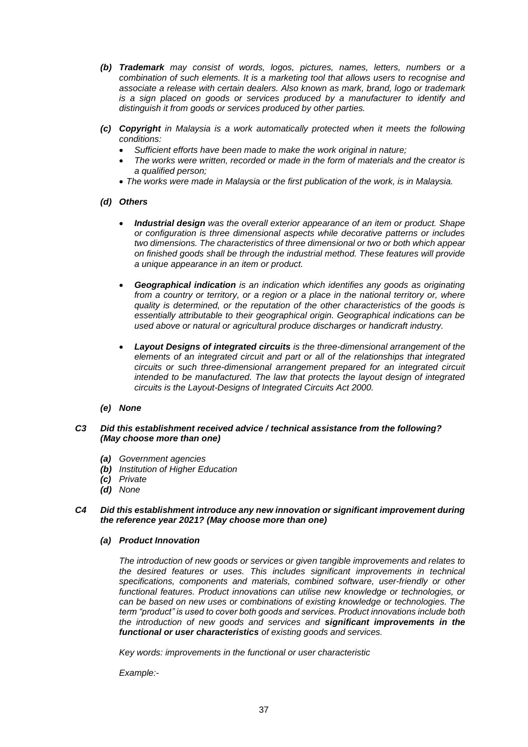- *(b) Trademark may consist of words, logos, pictures, names, letters, numbers or a combination of such elements. It is a marketing tool that allows users to recognise and associate a release with certain dealers. Also known as mark, brand, logo or trademark is a sign placed on goods or services produced by a manufacturer to identify and distinguish it from goods or services produced by other parties.*
- *(c) Copyright in Malaysia is a work automatically protected when it meets the following conditions:*
	- *Sufficient efforts have been made to make the work original in nature;*
	- *The works were written, recorded or made in the form of materials and the creator is a qualified person;*
	- *The works were made in Malaysia or the first publication of the work, is in Malaysia.*
- *(d) Others*
	- *Industrial design was the overall exterior appearance of an item or product. Shape or configuration is three dimensional aspects while decorative patterns or includes two dimensions. The characteristics of three dimensional or two or both which appear on finished goods shall be through the industrial method. These features will provide a unique appearance in an item or product.*
	- *Geographical indication is an indication which identifies any goods as originating*  from a country or territory, or a region or a place in the national territory or, where *quality is determined, or the reputation of the other characteristics of the goods is essentially attributable to their geographical origin. Geographical indications can be used above or natural or agricultural produce discharges or handicraft industry.*
	- *Layout Designs of integrated circuits is the three-dimensional arrangement of the elements of an integrated circuit and part or all of the relationships that integrated circuits or such three-dimensional arrangement prepared for an integrated circuit intended to be manufactured. The law that protects the layout design of integrated circuits is the Layout-Designs of Integrated Circuits Act 2000.*
- *(e) None*

## *C3 Did this establishment received advice / technical assistance from the following? (May choose more than one)*

- *(a) Government agencies*
- *(b) Institution of Higher Education*
- *(c) Private*
- *(d) None*
- *C4 Did this establishment introduce any new innovation or significant improvement during the reference year 2021? (May choose more than one)*
	- *(a) Product Innovation*

*The introduction of new goods or services or given tangible improvements and relates to the desired features or uses. This includes significant improvements in technical specifications, components and materials, combined software, user-friendly or other functional features. Product innovations can utilise new knowledge or technologies, or can be based on new uses or combinations of existing knowledge or technologies. The term "product" is used to cover both goods and services. Product innovations include both the introduction of new goods and services and significant improvements in the functional or user characteristics of existing goods and services.*

*Key words: improvements in the functional or user characteristic*

*Example:-*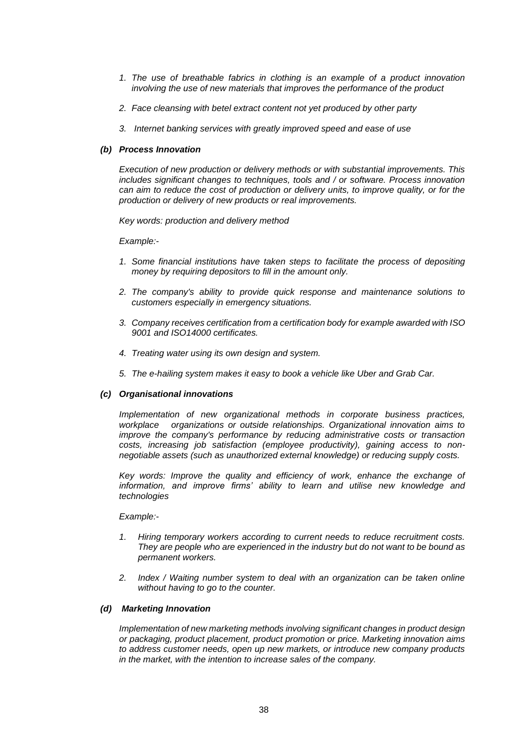- *1. The use of breathable fabrics in clothing is an example of a product innovation involving the use of new materials that improves the performance of the product*
- *2. Face cleansing with betel extract content not yet produced by other party*
- *3. Internet banking services with greatly improved speed and ease of use*

### *(b) Process Innovation*

*Execution of new production or delivery methods or with substantial improvements. This includes significant changes to techniques, tools and / or software. Process innovation can aim to reduce the cost of production or delivery units, to improve quality, or for the production or delivery of new products or real improvements.*

*Key words: production and delivery method*

*Example:-*

- *1. Some financial institutions have taken steps to facilitate the process of depositing money by requiring depositors to fill in the amount only.*
- *2. The company's ability to provide quick response and maintenance solutions to customers especially in emergency situations.*
- *3. Company receives certification from a certification body for example awarded with ISO 9001 and ISO14000 certificates.*
- *4. Treating water using its own design and system.*
- *5. The e-hailing system makes it easy to book a vehicle like Uber and Grab Car.*

### *(c) Organisational innovations*

*Implementation of new organizational methods in corporate business practices, workplace organizations or outside relationships. Organizational innovation aims to improve the company's performance by reducing administrative costs or transaction costs, increasing job satisfaction (employee productivity), gaining access to nonnegotiable assets (such as unauthorized external knowledge) or reducing supply costs.*

*Key words: Improve the quality and efficiency of work, enhance the exchange of*  information, and improve firms' ability to learn and utilise new knowledge and *technologies*

#### *Example:-*

- *1. Hiring temporary workers according to current needs to reduce recruitment costs. They are people who are experienced in the industry but do not want to be bound as permanent workers.*
- *2. Index / Waiting number system to deal with an organization can be taken online without having to go to the counter.*

#### *(d) Marketing Innovation*

*Implementation of new marketing methods involving significant changes in product design or packaging, product placement, product promotion or price. Marketing innovation aims to address customer needs, open up new markets, or introduce new company products in the market, with the intention to increase sales of the company.*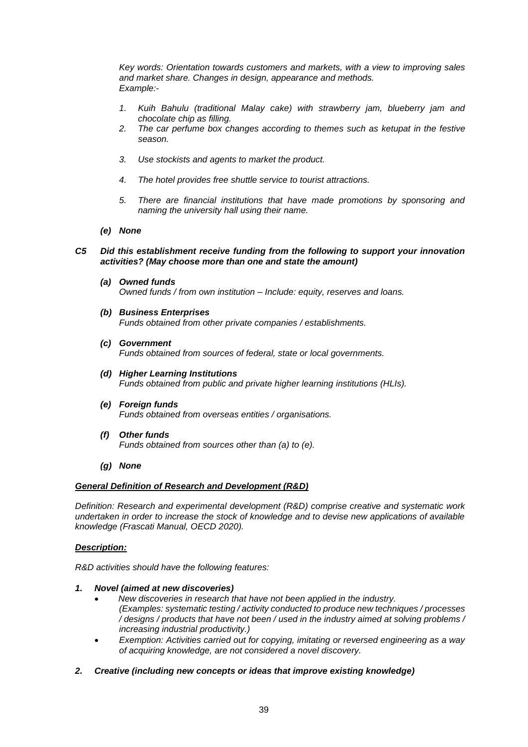*Key words: Orientation towards customers and markets, with a view to improving sales and market share. Changes in design, appearance and methods. Example:-*

- *1. Kuih Bahulu (traditional Malay cake) with strawberry jam, blueberry jam and chocolate chip as filling.*
- *2. The car perfume box changes according to themes such as ketupat in the festive season.*
- *3. Use stockists and agents to market the product.*
- *4. The hotel provides free shuttle service to tourist attractions.*
- *5. There are financial institutions that have made promotions by sponsoring and naming the university hall using their name.*
- *(e) None*

# *C5 Did this establishment receive funding from the following to support your innovation activities? (May choose more than one and state the amount)*

- *(a) Owned funds Owned funds / from own institution – Include: equity, reserves and loans.*
- *(b) Business Enterprises Funds obtained from other private companies / establishments.*
- *(c) Government Funds obtained from sources of federal, state or local governments.*
- *(d) Higher Learning Institutions Funds obtained from public and private higher learning institutions (HLIs).*
- *(e) Foreign funds Funds obtained from overseas entities / organisations.*
- *(f) Other funds Funds obtained from sources other than (a) to (e).*
- *(g) None*

## *General Definition of Research and Development (R&D)*

*Definition: Research and experimental development (R&D) comprise creative and systematic work undertaken in order to increase the stock of knowledge and to devise new applications of available knowledge (Frascati Manual, OECD 2020).*

# *Description:*

*R&D activities should have the following features:*

- *1. Novel (aimed at new discoveries)*
	- *New discoveries in research that have not been applied in the industry. (Examples: systematic testing / activity conducted to produce new techniques / processes / designs / products that have not been / used in the industry aimed at solving problems / increasing industrial productivity.)*
	- *Exemption: Activities carried out for copying, imitating or reversed engineering as a way of acquiring knowledge, are not considered a novel discovery.*

# *2. Creative (including new concepts or ideas that improve existing knowledge)*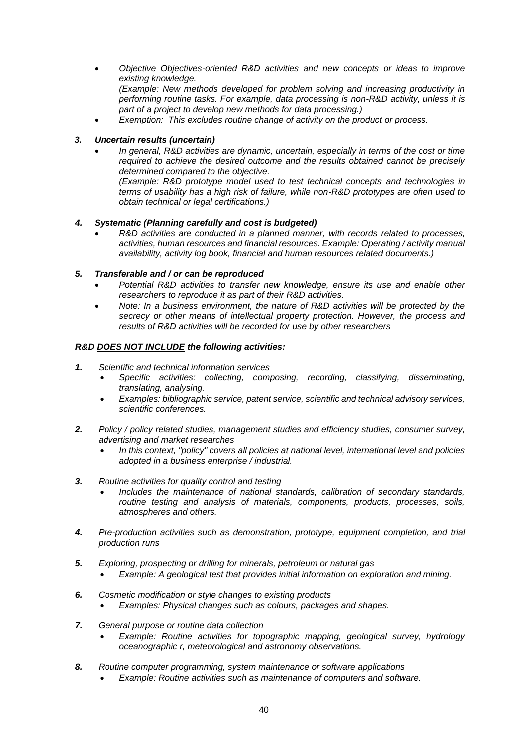- *Objective Objectives-oriented R&D activities and new concepts or ideas to improve existing knowledge. (Example: New methods developed for problem solving and increasing productivity in performing routine tasks. For example, data processing is non-R&D activity, unless it is part of a project to develop new methods for data processing.)*
- *Exemption: This excludes routine change of activity on the product or process.*

# *3. Uncertain results (uncertain)*

 *In general, R&D activities are dynamic, uncertain, especially in terms of the cost or time required to achieve the desired outcome and the results obtained cannot be precisely determined compared to the objective.*

*(Example: R&D prototype model used to test technical concepts and technologies in terms of usability has a high risk of failure, while non-R&D prototypes are often used to obtain technical or legal certifications.)*

# *4. Systematic (Planning carefully and cost is budgeted)*

 *R&D activities are conducted in a planned manner, with records related to processes, activities, human resources and financial resources. Example: Operating / activity manual availability, activity log book, financial and human resources related documents.)*

# *5. Transferable and / or can be reproduced*

- *Potential R&D activities to transfer new knowledge, ensure its use and enable other researchers to reproduce it as part of their R&D activities.*
- *Note: In a business environment, the nature of R&D activities will be protected by the secrecy or other means of intellectual property protection. However, the process and results of R&D activities will be recorded for use by other researchers*

# *R&D DOES NOT INCLUDE the following activities:*

- *1. Scientific and technical information services*
	- *Specific activities: collecting, composing, recording, classifying, disseminating, translating, analysing.*
	- *Examples: bibliographic service, patent service, scientific and technical advisory services, scientific conferences.*
- *2. Policy / policy related studies, management studies and efficiency studies, consumer survey, advertising and market researches*
	- *In this context, "policy" covers all policies at national level, international level and policies adopted in a business enterprise / industrial.*
- *3. Routine activities for quality control and testing*
	- *Includes the maintenance of national standards, calibration of secondary standards, routine testing and analysis of materials, components, products, processes, soils, atmospheres and others.*
- *4. Pre-production activities such as demonstration, prototype, equipment completion, and trial production runs*
- *5. Exploring, prospecting or drilling for minerals, petroleum or natural gas*
	- *Example: A geological test that provides initial information on exploration and mining.*
- *6. Cosmetic modification or style changes to existing products*
	- *Examples: Physical changes such as colours, packages and shapes.*
- *7. General purpose or routine data collection*
	- *Example: Routine activities for topographic mapping, geological survey, hydrology oceanographic r, meteorological and astronomy observations.*
- *8. Routine computer programming, system maintenance or software applications*
	- *Example: Routine activities such as maintenance of computers and software.*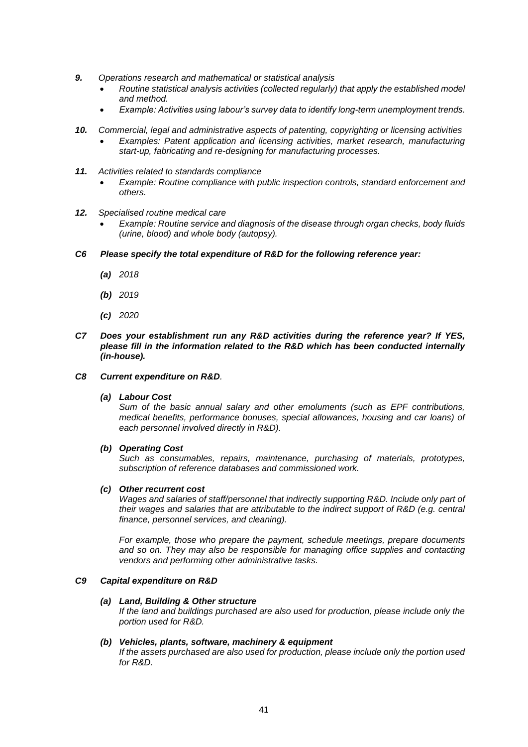- *9. Operations research and mathematical or statistical analysis*
	- *Routine statistical analysis activities (collected regularly) that apply the established model and method.*
	- *Example: Activities using labour's survey data to identify long-term unemployment trends.*
- *10. Commercial, legal and administrative aspects of patenting, copyrighting or licensing activities Examples: Patent application and licensing activities, market research, manufacturing start-up, fabricating and re-designing for manufacturing processes.*
- *11. Activities related to standards compliance* 
	- *Example: Routine compliance with public inspection controls, standard enforcement and others.*
- *12. Specialised routine medical care*
	- *Example: Routine service and diagnosis of the disease through organ checks, body fluids (urine, blood) and whole body (autopsy).*
- *C6 Please specify the total expenditure of R&D for the following reference year:*
	- *(a) 2018*
	- *(b) 2019*
	- *(c) 2020*
- *C7 Does your establishment run any R&D activities during the reference year? If YES, please fill in the information related to the R&D which has been conducted internally (in-house).*

## *C8 Current expenditure on R&D.*

## *(a) Labour Cost*

*Sum of the basic annual salary and other emoluments (such as EPF contributions, medical benefits, performance bonuses, special allowances, housing and car loans) of each personnel involved directly in R&D).* 

## *(b) Operating Cost*

*Such as consumables, repairs, maintenance, purchasing of materials, prototypes, subscription of reference databases and commissioned work.*

## *(c) Other recurrent cost*

*Wages and salaries of staff/personnel that indirectly supporting R&D. Include only part of their wages and salaries that are attributable to the indirect support of R&D (e.g. central finance, personnel services, and cleaning).*

*For example, those who prepare the payment, schedule meetings, prepare documents and so on. They may also be responsible for managing office supplies and contacting vendors and performing other administrative tasks.*

# *C9 Capital expenditure on R&D*

## *(a) Land, Building & Other structure*

*If the land and buildings purchased are also used for production, please include only the portion used for R&D.*

## *(b) Vehicles, plants, software, machinery & equipment*

*If the assets purchased are also used for production, please include only the portion used for R&D.*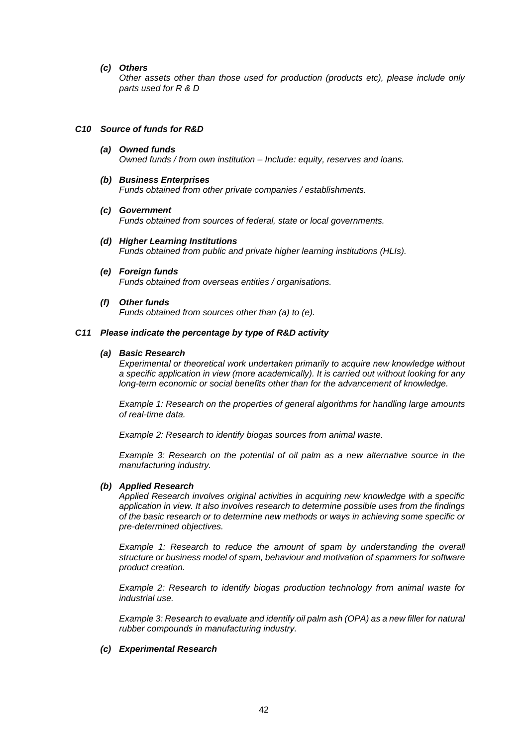## *(c) Others*

*Other assets other than those used for production (products etc), please include only parts used for R & D*

#### *C10 Source of funds for R&D*

- *(a) Owned funds Owned funds / from own institution – Include: equity, reserves and loans.*
- *(b) Business Enterprises Funds obtained from other private companies / establishments.*
- *(c) Government*

*Funds obtained from sources of federal, state or local governments.*

- *(d) Higher Learning Institutions Funds obtained from public and private higher learning institutions (HLIs).*
- *(e) Foreign funds Funds obtained from overseas entities / organisations.*
- *(f) Other funds*

*Funds obtained from sources other than (a) to (e).*

#### *C11 Please indicate the percentage by type of R&D activity*

## *(a) Basic Research*

*Experimental or theoretical work undertaken primarily to acquire new knowledge without a specific application in view (more academically). It is carried out without looking for any long-term economic or social benefits other than for the advancement of knowledge.*

*Example 1: Research on the properties of general algorithms for handling large amounts of real-time data.*

*Example 2: Research to identify biogas sources from animal waste.*

*Example 3: Research on the potential of oil palm as a new alternative source in the manufacturing industry.*

# *(b) Applied Research*

*Applied Research involves original activities in acquiring new knowledge with a specific application in view. It also involves research to determine possible uses from the findings of the basic research or to determine new methods or ways in achieving some specific or pre-determined objectives.*

*Example 1: Research to reduce the amount of spam by understanding the overall structure or business model of spam, behaviour and motivation of spammers for software product creation.*

*Example 2: Research to identify biogas production technology from animal waste for industrial use.*

*Example 3: Research to evaluate and identify oil palm ash (OPA) as a new filler for natural rubber compounds in manufacturing industry.*

## *(c) Experimental Research*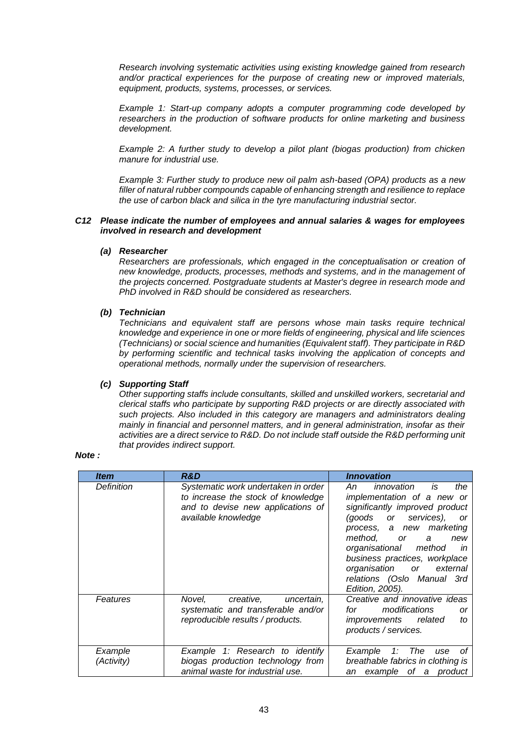*Research involving systematic activities using existing knowledge gained from research and/or practical experiences for the purpose of creating new or improved materials, equipment, products, systems, processes, or services.*

*Example 1: Start-up company adopts a computer programming code developed by researchers in the production of software products for online marketing and business development.*

*Example 2: A further study to develop a pilot plant (biogas production) from chicken manure for industrial use.*

*Example 3: Further study to produce new oil palm ash-based (OPA) products as a new filler of natural rubber compounds capable of enhancing strength and resilience to replace the use of carbon black and silica in the tyre manufacturing industrial sector.*

# *C12 Please indicate the number of employees and annual salaries & wages for employees involved in research and development*

## *(a) Researcher*

*Researchers are professionals, which engaged in the conceptualisation or creation of new knowledge, products, processes, methods and systems, and in the management of the projects concerned. Postgraduate students at Master's degree in research mode and PhD involved in R&D should be considered as researchers.*

# *(b) Technician*

*Technicians and equivalent staff are persons whose main tasks require technical knowledge and experience in one or more fields of engineering, physical and life sciences (Technicians) or social science and humanities (Equivalent staff). They participate in R&D by performing scientific and technical tasks involving the application of concepts and operational methods, normally under the supervision of researchers.*

# *(c) Supporting Staff*

*Other supporting staffs include consultants, skilled and unskilled workers, secretarial and clerical staffs who participate by supporting R&D projects or are directly associated with such projects. Also included in this category are managers and administrators dealing mainly in financial and personnel matters, and in general administration, insofar as their activities are a direct service to R&D. Do not include staff outside the R&D performing unit that provides indirect support.*

# *Note :*

| <i><b>Item</b></i>    | R&D                                                                                                                                   | <b>Innovation</b>                                                                                                                                                                                                                                                                                                            |
|-----------------------|---------------------------------------------------------------------------------------------------------------------------------------|------------------------------------------------------------------------------------------------------------------------------------------------------------------------------------------------------------------------------------------------------------------------------------------------------------------------------|
| Definition            | Systematic work undertaken in order<br>to increase the stock of knowledge<br>and to devise new applications of<br>available knowledge | innovation is<br>the<br>An<br>implementation of a new or<br>significantly improved product<br>(goods or services),<br><b>or</b><br>process, a new marketing<br>method. or a<br>new<br>organisational method in<br>business practices, workplace<br>organisation or external<br>relations (Oslo Manual 3rd<br>Edition, 2005). |
| Features              | Novel, creative, uncertain,<br>systematic and transferable and/or<br>reproducible results / products.                                 | Creative and innovative ideas<br>modifications<br>for to the form of the set of the set of the set of the set of the set of the set of the set of the set of the<br>or<br>improvements related<br>to<br>products / services.                                                                                                 |
| Example<br>(Activity) | Example 1: Research to identify<br>biogas production technology from<br>animal waste for industrial use.                              | 1: The<br>Example<br>οf<br>use<br>breathable fabrics in clothing is<br>an example of a product                                                                                                                                                                                                                               |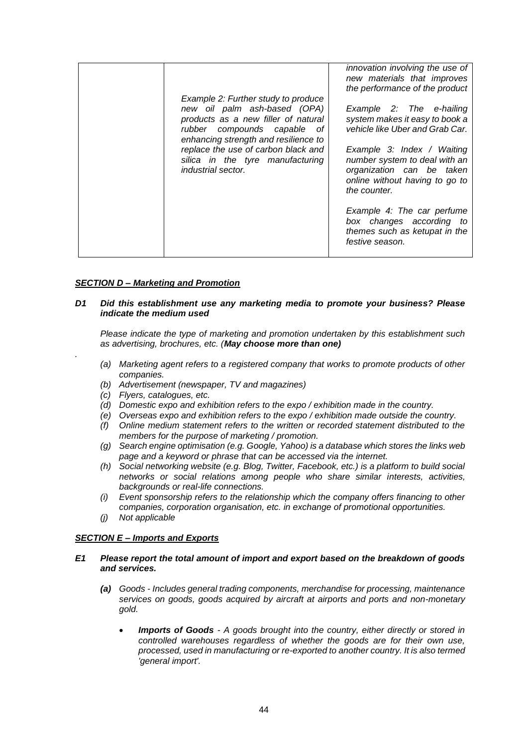| Example 2: Further study to produce<br>new oil palm ash-based (OPA)<br>products as a new filler of natural<br>rubber compounds capable of<br>enhancing strength and resilience to<br>replace the use of carbon black and<br>silica in the tyre manufacturing<br><i>industrial sector.</i> | innovation involving the use of<br>new materials that improves<br>the performance of the product<br>Example 2: The e-hailing<br>system makes it easy to book a<br>vehicle like Uber and Grab Car.<br>Example 3: Index / Waiting<br>number system to deal with an<br>organization can be taken |
|-------------------------------------------------------------------------------------------------------------------------------------------------------------------------------------------------------------------------------------------------------------------------------------------|-----------------------------------------------------------------------------------------------------------------------------------------------------------------------------------------------------------------------------------------------------------------------------------------------|
|                                                                                                                                                                                                                                                                                           | online without having to go to<br>the counter.<br>Example 4: The car perfume<br>box changes according to<br>themes such as ketupat in the<br>festive season.                                                                                                                                  |

# *SECTION D – Marketing and Promotion*

## *D1 Did this establishment use any marketing media to promote your business? Please indicate the medium used*

*Please indicate the type of marketing and promotion undertaken by this establishment such as advertising, brochures, etc. (May choose more than one)*

- *(a) Marketing agent refers to a registered company that works to promote products of other companies.*
- *(b) Advertisement (newspaper, TV and magazines)*
- *(c) Flyers, catalogues, etc.*

*.*

- *(d) Domestic expo and exhibition refers to the expo / exhibition made in the country.*
- *(e) Overseas expo and exhibition refers to the expo / exhibition made outside the country.*
- *(f) Online medium statement refers to the written or recorded statement distributed to the members for the purpose of marketing / promotion.*
- *(g) Search engine optimisation (e.g. Google, Yahoo) is a database which stores the links web page and a keyword or phrase that can be accessed via the internet.*
- *(h) Social networking website (e.g. Blog, Twitter, Facebook, etc.) is a platform to build social networks or social relations among people who share similar interests, activities, backgrounds or real-life connections.*
- *(i) Event sponsorship refers to the relationship which the company offers financing to other companies, corporation organisation, etc. in exchange of promotional opportunities.*
- *(j) Not applicable*

## *SECTION E – Imports and Exports*

# *E1 Please report the total amount of import and export based on the breakdown of goods and services.*

- *(a) Goods - Includes general trading components, merchandise for processing, maintenance services on goods, goods acquired by aircraft at airports and ports and non-monetary gold.*
	- *Imports of Goods - A goods brought into the country, either directly or stored in controlled warehouses regardless of whether the goods are for their own use, processed, used in manufacturing or re-exported to another country. It is also termed 'general import'.*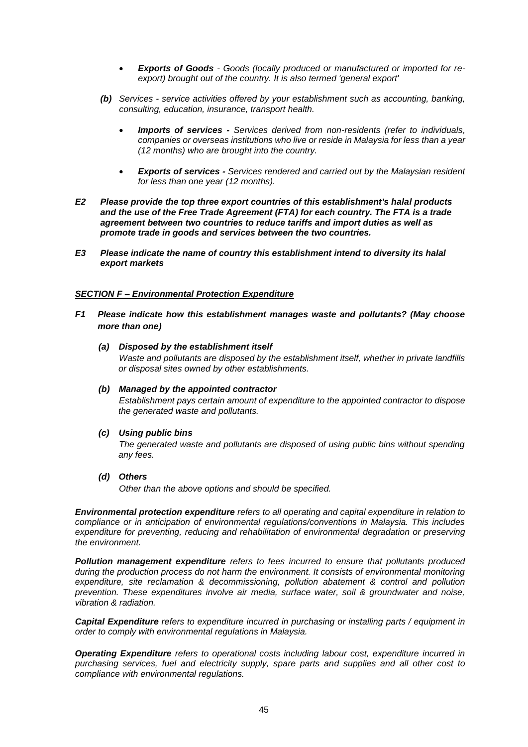- *Exports of Goods - Goods (locally produced or manufactured or imported for reexport) brought out of the country. It is also termed 'general export'*
- *(b) Services - service activities offered by your establishment such as accounting, banking, consulting, education, insurance, transport health.*
	- *Imports of services - Services derived from non-residents (refer to individuals, companies or overseas institutions who live or reside in Malaysia for less than a year (12 months) who are brought into the country.*
	- *Exports of services - Services rendered and carried out by the Malaysian resident for less than one year (12 months).*
- *E2 Please provide the top three export countries of this establishment's halal products and the use of the Free Trade Agreement (FTA) for each country. The FTA is a trade agreement between two countries to reduce tariffs and import duties as well as promote trade in goods and services between the two countries.*
- *E3 Please indicate the name of country this establishment intend to diversity its halal export markets*

# *SECTION F – Environmental Protection Expenditure*

- *F1 Please indicate how this establishment manages waste and pollutants? (May choose more than one)*
	- *(a) Disposed by the establishment itself Waste and pollutants are disposed by the establishment itself, whether in private landfills or disposal sites owned by other establishments.*
	- *(b) Managed by the appointed contractor Establishment pays certain amount of expenditure to the appointed contractor to dispose the generated waste and pollutants.*
	- *(c) Using public bins The generated waste and pollutants are disposed of using public bins without spending any fees.*
	- *(d) Others*

*Other than the above options and should be specified.*

*Environmental protection expenditure refers to all operating and capital expenditure in relation to compliance or in anticipation of environmental regulations/conventions in Malaysia. This includes expenditure for preventing, reducing and rehabilitation of environmental degradation or preserving the environment.*

*Pollution management expenditure refers to fees incurred to ensure that pollutants produced during the production process do not harm the environment. It consists of environmental monitoring expenditure, site reclamation & decommissioning, pollution abatement & control and pollution prevention. These expenditures involve air media, surface water, soil & groundwater and noise, vibration & radiation.*

*Capital Expenditure refers to expenditure incurred in purchasing or installing parts / equipment in order to comply with environmental regulations in Malaysia.*

*Operating Expenditure refers to operational costs including labour cost, expenditure incurred in purchasing services, fuel and electricity supply, spare parts and supplies and all other cost to compliance with environmental regulations.*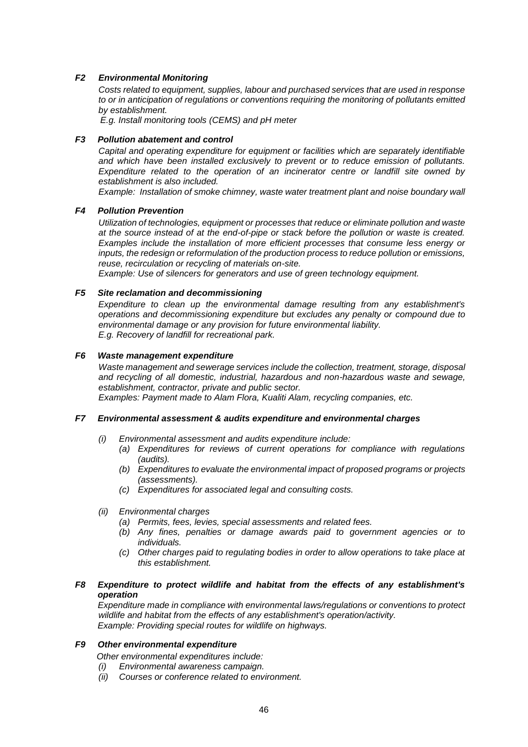# *F2 Environmental Monitoring*

*Costs related to equipment, supplies, labour and purchased services that are used in response to or in anticipation of regulations or conventions requiring the monitoring of pollutants emitted by establishment.*

*E.g. Install monitoring tools (CEMS) and pH meter*

### *F3 Pollution abatement and control*

*Capital and operating expenditure for equipment or facilities which are separately identifiable and which have been installed exclusively to prevent or to reduce emission of pollutants. Expenditure related to the operation of an incinerator centre or landfill site owned by establishment is also included.* 

*Example: Installation of smoke chimney, waste water treatment plant and noise boundary wall*

# *F4 Pollution Prevention*

*Utilization of technologies, equipment or processes that reduce or eliminate pollution and waste at the source instead of at the end-of-pipe or stack before the pollution or waste is created. Examples include the installation of more efficient processes that consume less energy or inputs, the redesign or reformulation of the production process to reduce pollution or emissions, reuse, recirculation or recycling of materials on-site.*

*Example: Use of silencers for generators and use of green technology equipment.*

## *F5 Site reclamation and decommissioning*

*Expenditure to clean up the environmental damage resulting from any establishment's operations and decommissioning expenditure but excludes any penalty or compound due to environmental damage or any provision for future environmental liability. E.g. Recovery of landfill for recreational park.*

# *F6 Waste management expenditure*

*Waste management and sewerage services include the collection, treatment, storage, disposal and recycling of all domestic, industrial, hazardous and non-hazardous waste and sewage, establishment, contractor, private and public sector.* 

*Examples: Payment made to Alam Flora, Kualiti Alam, recycling companies, etc.*

### *F7 Environmental assessment & audits expenditure and environmental charges*

- *(i) Environmental assessment and audits expenditure include:*
	- *(a) Expenditures for reviews of current operations for compliance with regulations (audits).*
	- *(b) Expenditures to evaluate the environmental impact of proposed programs or projects (assessments).*
	- *(c) Expenditures for associated legal and consulting costs.*
- *(ii) Environmental charges*
	- *(a) Permits, fees, levies, special assessments and related fees.*
	- *(b) Any fines, penalties or damage awards paid to government agencies or to individuals.*
	- *(c) Other charges paid to regulating bodies in order to allow operations to take place at this establishment.*

## *F8 Expenditure to protect wildlife and habitat from the effects of any establishment's operation*

*Expenditure made in compliance with environmental laws/regulations or conventions to protect wildlife and habitat from the effects of any establishment's operation/activity. Example: Providing special routes for wildlife on highways.*

# *F9 Other environmental expenditure*

*Other environmental expenditures include:*

- *(i) Environmental awareness campaign.*
- *(ii) Courses or conference related to environment.*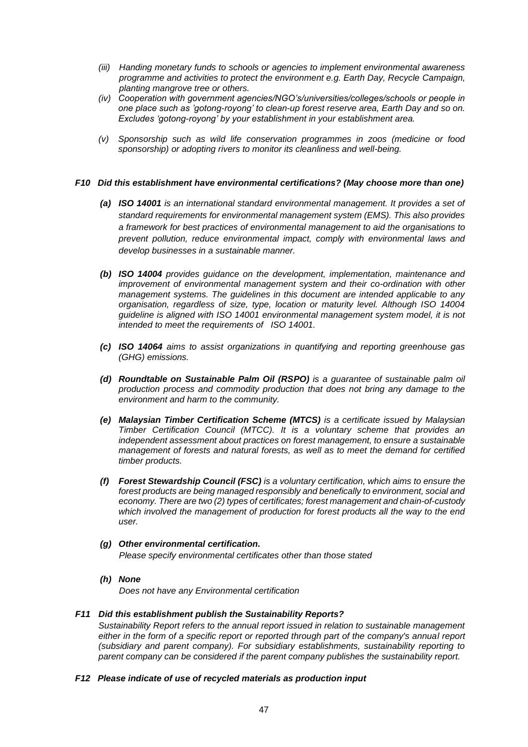- *(iii) Handing monetary funds to schools or agencies to implement environmental awareness programme and activities to protect the environment e.g. Earth Day, Recycle Campaign, planting mangrove tree or others.*
- *(iv) Cooperation with government agencies/NGO's/universities/colleges/schools or people in one place such as 'gotong-royong' to clean-up forest reserve area, Earth Day and so on. Excludes 'gotong-royong' by your establishment in your establishment area.*
- *(v) Sponsorship such as wild life conservation programmes in zoos (medicine or food sponsorship) or adopting rivers to monitor its cleanliness and well-being.*

# *F10 Did this establishment have environmental certifications? (May choose more than one)*

- *(a) ISO 14001 is an international standard environmental management. It provides a set of standard requirements for environmental management system (EMS). This also provides a framework for best practices of environmental management to aid the organisations to prevent pollution, reduce environmental impact, comply with environmental laws and develop businesses in a sustainable manner.*
- *(b) ISO 14004 provides guidance on the development, implementation, maintenance and improvement of environmental management system and their co-ordination with other management systems. The guidelines in this document are intended applicable to any organisation, regardless of size, type, location or maturity level. Although ISO 14004 guideline is aligned with ISO 14001 environmental management system model, it is not intended to meet the requirements of ISO 14001.*
- *(c) ISO 14064 aims to assist organizations in quantifying and reporting greenhouse gas (GHG) emissions.*
- *(d) Roundtable on Sustainable Palm Oil (RSPO) is a guarantee of sustainable palm oil production process and commodity production that does not bring any damage to the environment and harm to the community.*
- *(e) Malaysian Timber Certification Scheme (MTCS) is a certificate issued by Malaysian Timber Certification Council (MTCC). It is a voluntary scheme that provides an independent assessment about practices on forest management, to ensure a sustainable management of forests and natural forests, as well as to meet the demand for certified timber products.*
- *(f) Forest Stewardship Council (FSC) is a voluntary certification, which aims to ensure the forest products are being managed responsibly and benefically to environment, social and economy. There are two (2) types of certificates; forest management and chain-of-custody which involved the management of production for forest products all the way to the end user.*

# *(g) Other environmental certification.*

*Please specify environmental certificates other than those stated*

*(h) None*

*Does not have any Environmental certification*

## *F11 Did this establishment publish the Sustainability Reports?*

*Sustainability Report refers to the annual report issued in relation to sustainable management either in the form of a specific report or reported through part of the company's annual report (subsidiary and parent company). For subsidiary establishments, sustainability reporting to parent company can be considered if the parent company publishes the sustainability report.*

# *F12 Please indicate of use of recycled materials as production input*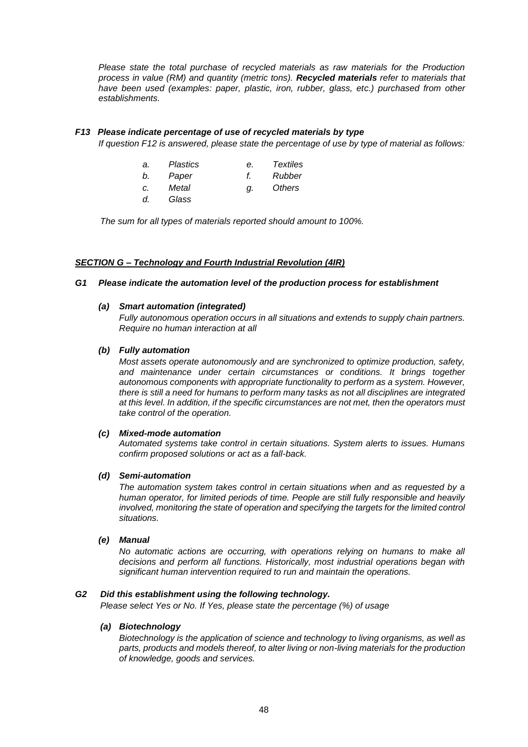*Please state the total purchase of recycled materials as raw materials for the Production process in value (RM) and quantity (metric tons). Recycled materials refer to materials that have been used (examples: paper, plastic, iron, rubber, glass, etc.) purchased from other establishments.*

# *F13 Please indicate percentage of use of recycled materials by type*

*If question F12 is answered, please state the percentage of use by type of material as follows:*

| а. | Plastics | е. | <b>Textiles</b> |
|----|----------|----|-----------------|
| b. | Paper    |    | Rubber          |
| C. | Metal    | a. | Others          |
| d. | Glass    |    |                 |

*The sum for all types of materials reported should amount to 100%.*

# *SECTION G – Technology and Fourth Industrial Revolution (4IR)*

# *G1 Please indicate the automation level of the production process for establishment*

### *(a) Smart automation (integrated)*

*Fully autonomous operation occurs in all situations and extends to supply chain partners. Require no human interaction at all*

#### *(b) Fully automation*

*Most assets operate autonomously and are synchronized to optimize production, safety,*  and maintenance under certain circumstances or conditions. It brings together *autonomous components with appropriate functionality to perform as a system. However, there is still a need for humans to perform many tasks as not all disciplines are integrated at this level. In addition, if the specific circumstances are not met, then the operators must take control of the operation.* 

# *(c) Mixed-mode automation*

*Automated systems take control in certain situations. System alerts to issues. Humans confirm proposed solutions or act as a fall-back.*

#### *(d) Semi-automation*

*The automation system takes control in certain situations when and as requested by a human operator, for limited periods of time. People are still fully responsible and heavily involved, monitoring the state of operation and specifying the targets for the limited control situations.*

#### *(e) Manual*

*No automatic actions are occurring, with operations relying on humans to make all decisions and perform all functions. Historically, most industrial operations began with significant human intervention required to run and maintain the operations.*

#### *G2 Did this establishment using the following technology.*

*Please select Yes or No. If Yes, please state the percentage (%) of usage*

# *(a) Biotechnology*

*Biotechnology is the application of science and technology to living organisms, as well as parts, products and models thereof, to alter living or non-living materials for the production of knowledge, goods and services.*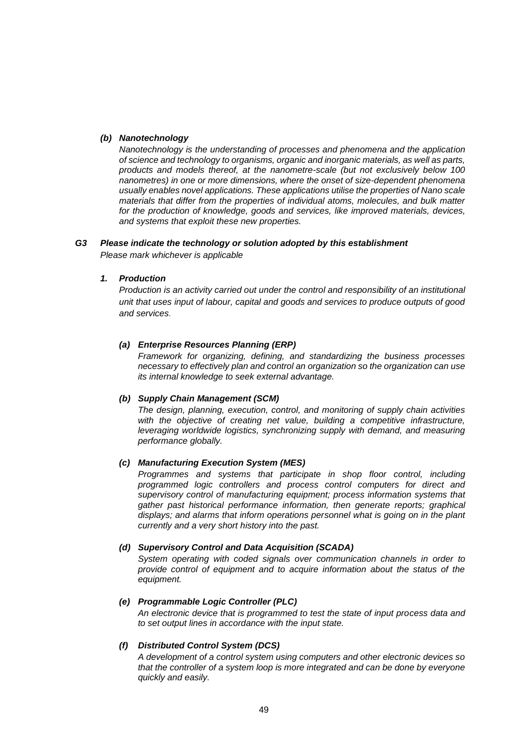# *(b) Nanotechnology*

*Nanotechnology is the understanding of processes and phenomena and the application of science and technology to organisms, organic and inorganic materials, as well as parts, products and models thereof, at the nanometre-scale (but not exclusively below 100 nanometres) in one or more dimensions, where the onset of size-dependent phenomena usually enables novel applications. These applications utilise the properties of Nano scale materials that differ from the properties of individual atoms, molecules, and bulk matter*  for the production of knowledge, goods and services, like improved materials, devices, *and systems that exploit these new properties.*

# *G3 Please indicate the technology or solution adopted by this establishment*

*Please mark whichever is applicable*

# *1. Production*

*Production is an activity carried out under the control and responsibility of an institutional unit that uses input of labour, capital and goods and services to produce outputs of good and services.*

# *(a) Enterprise Resources Planning (ERP)*

*Framework for organizing, defining, and standardizing the business processes necessary to effectively plan and control an organization so the organization can use its internal knowledge to seek external advantage.*

## *(b) Supply Chain Management (SCM)*

*The design, planning, execution, control, and monitoring of supply chain activities with the objective of creating net value, building a competitive infrastructure, leveraging worldwide logistics, synchronizing supply with demand, and measuring performance globally.* 

## *(c) Manufacturing Execution System (MES)*

*Programmes and systems that participate in shop floor control, including programmed logic controllers and process control computers for direct and supervisory control of manufacturing equipment; process information systems that gather past historical performance information, then generate reports; graphical displays; and alarms that inform operations personnel what is going on in the plant currently and a very short history into the past.*

# *(d) Supervisory Control and Data Acquisition (SCADA)*

*System operating with coded signals over communication channels in order to provide control of equipment and to acquire information about the status of the equipment.*

## *(e) Programmable Logic Controller (PLC)*

*An electronic device that is programmed to test the state of input process data and to set output lines in accordance with the input state.*

# *(f) Distributed Control System (DCS)*

*A development of a control system using computers and other electronic devices so that the controller of a system loop is more integrated and can be done by everyone quickly and easily.*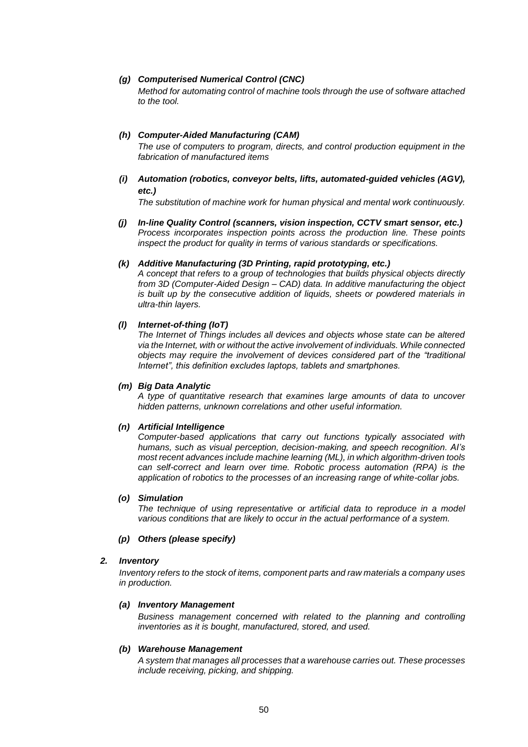# *(g) Computerised Numerical Control (CNC)*

*Method for automating control of machine tools through the use of software attached to the tool.*

# *(h) Computer-Aided Manufacturing (CAM)*

*The use of computers to program, directs, and control production equipment in the fabrication of manufactured items*

## *(i) Automation (robotics, conveyor belts, lifts, automated-guided vehicles (AGV), etc.)*

*The substitution of machine work for human physical and mental work continuously.*

*(j) In-line Quality Control (scanners, vision inspection, CCTV smart sensor, etc.) Process incorporates inspection points across the production line. These points inspect the product for quality in terms of various standards or specifications.*

## *(k) Additive Manufacturing (3D Printing, rapid prototyping, etc.)*

*A concept that refers to a group of technologies that builds physical objects directly from 3D (Computer-Aided Design – CAD) data. In additive manufacturing the object is built up by the consecutive addition of liquids, sheets or powdered materials in ultra-thin layers.*

## *(l) Internet-of-thing (IoT)*

*The Internet of Things includes all devices and objects whose state can be altered via the Internet, with or without the active involvement of individuals. While connected objects may require the involvement of devices considered part of the "traditional Internet", this definition excludes laptops, tablets and smartphones.*

## *(m) Big Data Analytic*

*A type of quantitative research that examines large amounts of data to uncover hidden patterns, unknown correlations and other useful information.*

# *(n) Artificial Intelligence*

*Computer-based applications that carry out functions typically associated with humans, such as visual perception, decision-making, and speech recognition. AI's most recent advances include machine learning (ML), in which algorithm-driven tools can self-correct and learn over time. Robotic process automation (RPA) is the application of robotics to the processes of an increasing range of white-collar jobs.* 

## *(o) Simulation*

*The technique of using representative or artificial data to reproduce in a model various conditions that are likely to occur in the actual performance of a system.*

## *(p) Others (please specify)*

# *2. Inventory*

*Inventory refers to the stock of items, component parts and raw materials a company uses in production.*

## *(a) Inventory Management*

*Business management concerned with related to the planning and controlling inventories as it is bought, manufactured, stored, and used.*

## *(b) Warehouse Management*

*A system that manages all processes that a warehouse carries out. These processes include receiving, picking, and shipping.*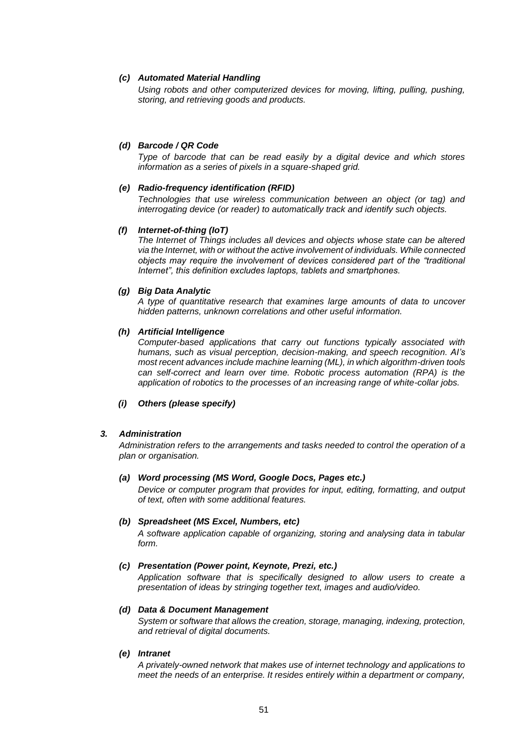# *(c) Automated Material Handling*

*Using robots and other computerized devices for moving, lifting, pulling, pushing, storing, and retrieving goods and products.*

## *(d) Barcode / QR Code*

*Type of barcode that can be read easily by a digital device and which stores information as a series of pixels in a square-shaped grid.*

## *(e) Radio-frequency identification (RFID)*

*Technologies that use wireless communication between an object (or tag) and interrogating device (or reader) to automatically track and identify such objects.*

## *(f) Internet-of-thing (IoT)*

*The Internet of Things includes all devices and objects whose state can be altered via the Internet, with or without the active involvement of individuals. While connected objects may require the involvement of devices considered part of the "traditional Internet", this definition excludes laptops, tablets and smartphones.*

#### *(g) Big Data Analytic*

*A type of quantitative research that examines large amounts of data to uncover hidden patterns, unknown correlations and other useful information.*

# *(h) Artificial Intelligence*

*Computer-based applications that carry out functions typically associated with humans, such as visual perception, decision-making, and speech recognition. AI's most recent advances include machine learning (ML), in which algorithm-driven tools can self-correct and learn over time. Robotic process automation (RPA) is the application of robotics to the processes of an increasing range of white-collar jobs.* 

# *(i) Others (please specify)*

## *3. Administration*

*Administration refers to the arrangements and tasks needed to control the operation of a plan or organisation.*

#### *(a) Word processing (MS Word, Google Docs, Pages etc.)*

*Device or computer program that provides for input, editing, formatting, and output of text, often with some additional features.*

#### *(b) Spreadsheet (MS Excel, Numbers, etc)*

*A software application capable of organizing, storing and analysing data in tabular form.*

#### *(c) Presentation (Power point, Keynote, Prezi, etc.)*

*Application software that is specifically designed to allow users to create a presentation of ideas by stringing together text, images and audio/video.*

#### *(d) Data & Document Management*

*System or software that allows the creation, storage, managing, indexing, protection, and retrieval of digital documents.*

#### *(e) Intranet*

*A privately-owned network that makes use of internet technology and applications to meet the needs of an enterprise. It resides entirely within a department or company,*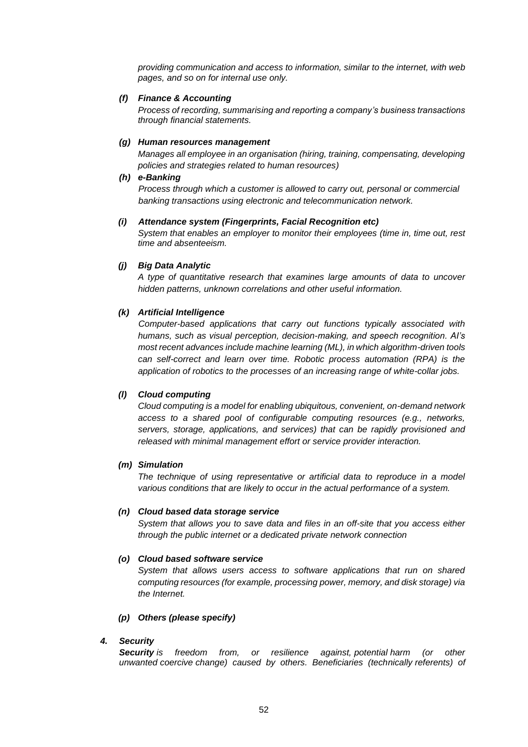*providing communication and access to information, similar to the internet, with web pages, and so on for internal use only.*

# *(f) Finance & Accounting*

*Process of recording, summarising and reporting a company's business transactions through financial statements.*

# *(g) Human resources management*

*Manages all employee in an organisation (hiring, training, compensating, developing policies and strategies related to human resources)*

## *(h) e-Banking*

*Process through which a customer is allowed to carry out, personal or commercial banking transactions using electronic and telecommunication network.*

## *(i) Attendance system (Fingerprints, Facial Recognition etc)*

*System that enables an employer to monitor their employees (time in, time out, rest time and absenteeism.*

# *(j) Big Data Analytic*

*A type of quantitative research that examines large amounts of data to uncover hidden patterns, unknown correlations and other useful information.*

# *(k) Artificial Intelligence*

*Computer-based applications that carry out functions typically associated with humans, such as visual perception, decision-making, and speech recognition. AI's most recent advances include machine learning (ML), in which algorithm-driven tools can self-correct and learn over time. Robotic process automation (RPA) is the application of robotics to the processes of an increasing range of white-collar jobs.* 

# *(l) Cloud computing*

*Cloud computing is a model for enabling ubiquitous, convenient, on-demand network access to a shared pool of configurable computing resources (e.g., networks, servers, storage, applications, and services) that can be rapidly provisioned and released with minimal management effort or service provider interaction.* 

## *(m) Simulation*

*The technique of using representative or artificial data to reproduce in a model various conditions that are likely to occur in the actual performance of a system.*

# *(n) Cloud based data storage service*

*System that allows you to save data and files in an off-site that you access either through the public internet or a dedicated private network connection*

# *(o) Cloud based software service*

*System that allows users access to software applications that run on shared computing resources (for example, processing power, memory, and disk storage) via the Internet.*

# *(p) Others (please specify)*

# *4. Security*

*Security is freedom from, or resilience against, [potential](https://en.wikipedia.org/wiki/Potential) harm (or other unwanted [coercive](https://en.wikipedia.org/wiki/Coercion) change) caused by others. Beneficiaries (technically [referents\)](https://en.wikipedia.org/wiki/Referent) of*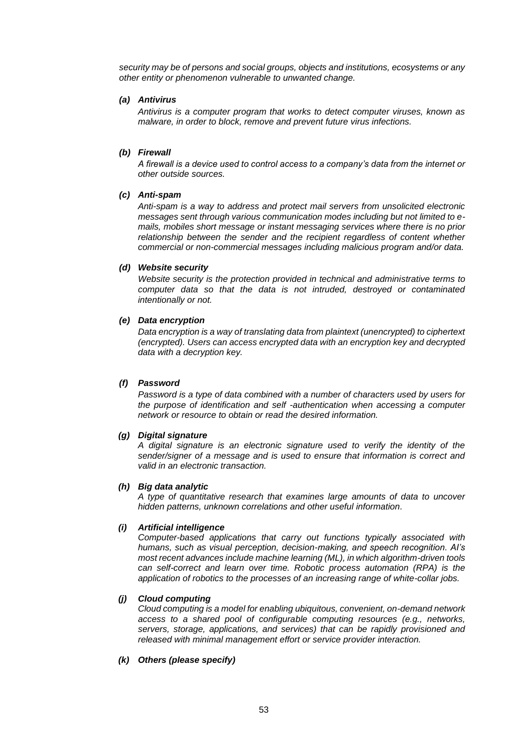*security may be of persons and social groups, objects and institutions, ecosystems or any other entity or phenomenon vulnerable to unwanted change.*

# *(a) Antivirus*

*Antivirus is a computer program that works to detect computer viruses, known as malware, in order to block, remove and prevent future virus infections.*

# *(b) Firewall*

*A firewall is a device used to control access to a company's data from the internet or other outside sources.*

# *(c) Anti-spam*

*Anti-spam is a way to address and protect mail servers from unsolicited electronic messages sent through various communication modes including but not limited to emails, mobiles short message or instant messaging services where there is no prior relationship between the sender and the recipient regardless of content whether commercial or non-commercial messages including malicious program and/or data.*

## *(d) Website security*

*Website security is the protection provided in technical and administrative terms to computer data so that the data is not intruded, destroyed or contaminated intentionally or not.*

# *(e) Data encryption*

*Data encryption is a way of translating data from plaintext (unencrypted) to ciphertext (encrypted). Users can access encrypted data with an encryption key and decrypted data with a decryption key.*

# *(f) Password*

*Password is a type of data combined with a number of characters used by users for the purpose of identification and self -authentication when accessing a computer network or resource to obtain or read the desired information.*

## *(g) Digital signature*

*A digital signature is an electronic signature used to verify the identity of the sender/signer of a message and is used to ensure that information is correct and valid in an electronic transaction.*

## *(h) Big data analytic*

*A type of quantitative research that examines large amounts of data to uncover hidden patterns, unknown correlations and other useful information.*

## *(i) Artificial intelligence*

*Computer-based applications that carry out functions typically associated with humans, such as visual perception, decision-making, and speech recognition. AI's most recent advances include machine learning (ML), in which algorithm-driven tools can self-correct and learn over time. Robotic process automation (RPA) is the application of robotics to the processes of an increasing range of white-collar jobs.* 

## *(j) Cloud computing*

*Cloud computing is a model for enabling ubiquitous, convenient, on-demand network access to a shared pool of configurable computing resources (e.g., networks, servers, storage, applications, and services) that can be rapidly provisioned and released with minimal management effort or service provider interaction.* 

# *(k) Others (please specify)*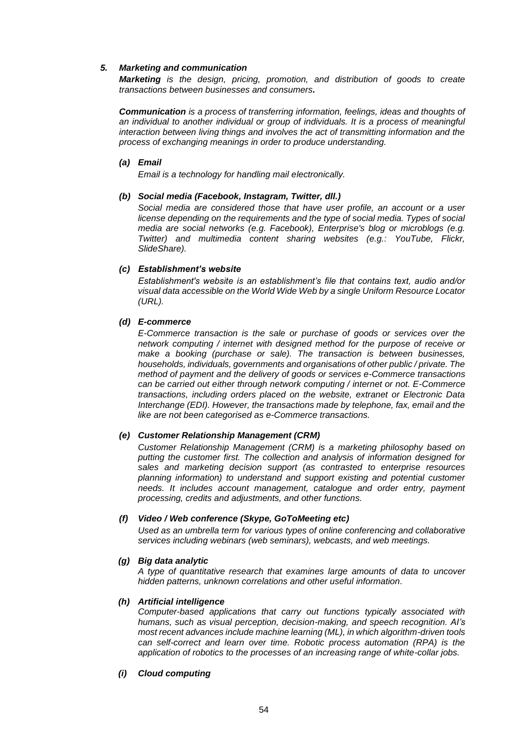# *5. Marketing and communication*

*Marketing is the design, pricing, promotion, and distribution of goods to create transactions between businesses and consumers.*

*Communication is a process of transferring information, feelings, ideas and thoughts of an individual to another individual or group of individuals. It is a process of meaningful interaction between living things and involves the act of transmitting information and the process of exchanging meanings in order to produce understanding.*

# *(a) Email*

*Email is a technology for handling mail electronically.*

## *(b) Social media (Facebook, Instagram, Twitter, dll.)*

*Social media are considered those that have user profile, an account or a user license depending on the requirements and the type of social media. Types of social media are social networks (e.g. Facebook), Enterprise's blog or microblogs (e.g. Twitter) and multimedia content sharing websites (e.g.: YouTube, Flickr, SlideShare).*

# *(c) Establishment's website*

*Establishment's website is an establishment's file that contains text, audio and/or visual data accessible on the World Wide Web by a single Uniform Resource Locator (URL).*

# *(d) E-commerce*

*E-Commerce transaction is the sale or purchase of goods or services over the network computing / internet with designed method for the purpose of receive or make a booking (purchase or sale). The transaction is between businesses, households, individuals, governments and organisations of other public / private. The method of payment and the delivery of goods or services e-Commerce transactions can be carried out either through network computing / internet or not. E-Commerce transactions, including orders placed on the website, extranet or Electronic Data Interchange (EDI). However, the transactions made by telephone, fax, email and the like are not been categorised as e-Commerce transactions.*

## *(e) Customer Relationship Management (CRM)*

*Customer Relationship Management (CRM) is a marketing philosophy based on putting the customer first. The collection and analysis of information designed for sales and marketing decision support (as contrasted to enterprise resources planning information) to understand and support existing and potential customer needs. It includes account management, catalogue and order entry, payment processing, credits and adjustments, and other functions.* 

## *(f) Video / Web conference (Skype, GoToMeeting etc)*

*Used as an [umbrella term](https://en.wikipedia.org/wiki/Umbrella_term) for various types of online [conferencing](https://en.wikipedia.org/wiki/Conference) and collaborative services including webinars (web seminars), [webcasts,](https://en.wikipedia.org/wiki/Webcasts) and web meetings.*

## *(g) Big data analytic*

*A type of quantitative research that examines large amounts of data to uncover hidden patterns, unknown correlations and other useful information.*

## *(h) Artificial intelligence*

*Computer-based applications that carry out functions typically associated with humans, such as visual perception, decision-making, and speech recognition. AI's most recent advances include machine learning (ML), in which algorithm-driven tools can self-correct and learn over time. Robotic process automation (RPA) is the application of robotics to the processes of an increasing range of white-collar jobs.* 

## *(i) Cloud computing*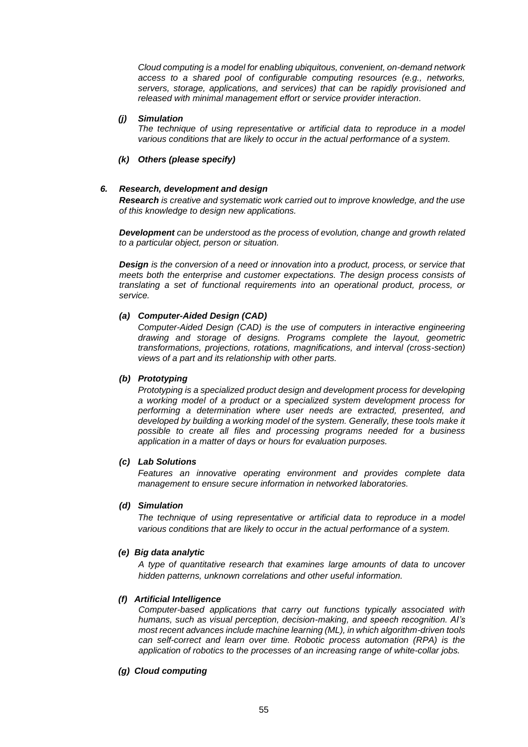*Cloud computing is a model for enabling ubiquitous, convenient, on-demand network access to a shared pool of configurable computing resources (e.g., networks, servers, storage, applications, and services) that can be rapidly provisioned and released with minimal management effort or service provider interaction.*

### *(j) Simulation*

*The technique of using representative or artificial data to reproduce in a model various conditions that are likely to occur in the actual performance of a system.*

# *(k) Others (please specify)*

## *6. Research, development and design*

*Research is creative and systematic work carried out to improve knowledge, and the use of this knowledge to design new applications.*

*Development can be understood as the process of evolution, change and growth related to a particular object, person or situation.*

*Design is the conversion of a need or innovation into a product, process, or service that meets both the enterprise and customer expectations. The design process consists of translating a set of functional requirements into an operational product, process, or service.*

## *(a) Computer-Aided Design (CAD)*

*Computer-Aided Design (CAD) is the use of computers in interactive engineering drawing and storage of designs. Programs complete the layout, geometric transformations, projections, rotations, magnifications, and interval (cross-section) views of a part and its relationship with other parts.*

### *(b) Prototyping*

*Prototyping is a specialized product design and development process for developing a working model of a product or a specialized system development process for performing a determination where user needs are extracted, presented, and developed by building a working model of the system. Generally, these tools make it possible to create all files and processing programs needed for a business application in a matter of days or hours for evaluation purposes.*

### *(c) Lab Solutions*

*Features an innovative operating environment and provides complete data management to ensure secure information in networked laboratories.*

#### *(d) Simulation*

*The technique of using representative or artificial data to reproduce in a model various conditions that are likely to occur in the actual performance of a system.*

#### *(e) Big data analytic*

*A type of quantitative research that examines large amounts of data to uncover hidden patterns, unknown correlations and other useful information.*

#### *(f) Artificial Intelligence*

*Computer-based applications that carry out functions typically associated with humans, such as visual perception, decision-making, and speech recognition. AI's most recent advances include machine learning (ML), in which algorithm-driven tools can self-correct and learn over time. Robotic process automation (RPA) is the application of robotics to the processes of an increasing range of white-collar jobs.* 

# *(g) Cloud computing*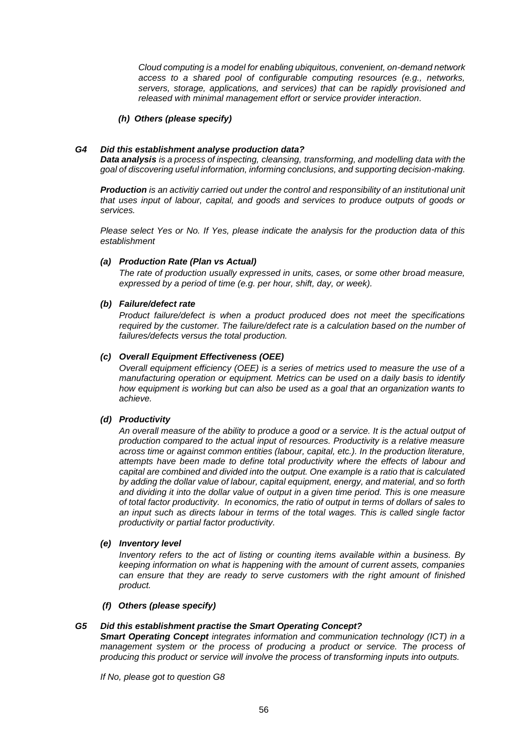*Cloud computing is a model for enabling ubiquitous, convenient, on-demand network access to a shared pool of configurable computing resources (e.g., networks, servers, storage, applications, and services) that can be rapidly provisioned and released with minimal management effort or service provider interaction.*

## *(h) Others (please specify)*

## *G4 Did this establishment analyse production data?*

*Data analysis is a process of inspecting, [cleansing,](https://en.wikipedia.org/wiki/Data_cleansing) [transforming,](https://en.wikipedia.org/wiki/Data_transformation) and [modelling](https://en.wikipedia.org/wiki/Data_modeling) [data](https://en.wikipedia.org/wiki/Data) with the goal of discovering useful information, informing conclusions, and supporting decision-making.*

*Production is an activitiy carried out under the control and responsibility of an institutional unit that uses input of labour, capital, and goods and services to produce outputs of goods or services.*

*Please select Yes or No. If Yes, please indicate the analysis for the production data of this establishment*

# *(a) Production Rate (Plan vs Actual)*

*The rate of production usually expressed in units, cases, or some other broad measure, expressed by a period of time (e.g. per hour, shift, day, or week).*

## *(b) Failure/defect rate*

*Product failure/defect is when a product produced does not meet the specifications*  required by the customer. The failure/defect rate is a calculation based on the number of *failures/defects versus the total production.*

# *(c) Overall Equipment Effectiveness (OEE)*

*Overall equipment efficiency (OEE) is a series of metrics used to measure the use of a manufacturing operation or equipment. Metrics can be used on a daily basis to identify how equipment is working but can also be used as a goal that an organization wants to achieve.*

# *(d) Productivity*

*An overall measure of the ability to produce a good or a service. It is the actual output of production compared to the actual input of resources. Productivity is a relative measure across time or against common entities (labour, capital, etc.). In the production literature, attempts have been made to define total productivity where the effects of labour and capital are combined and divided into the output. One example is a ratio that is calculated by adding the dollar value of labour, capital equipment, energy, and material, and so forth and dividing it into the dollar value of output in a given time period. This is one measure of total factor productivity. In economics, the ratio of output in terms of dollars of sales to an input such as directs labour in terms of the total wages. This is called single factor productivity or partial factor productivity.*

# *(e) Inventory level*

*Inventory refers to the act of listing or counting items available within a business. By keeping information on what is happening with the amount of current assets, companies can ensure that they are ready to serve customers with the right amount of finished product.*

# *(f) Others (please specify)*

## *G5 Did this establishment practise the Smart Operating Concept?*

*Smart Operating Concept integrates information and communication technology (ICT) in a management system or the process of producing a product or service. The process of producing this product or service will involve the process of transforming inputs into outputs.*

*If No, please got to question G8*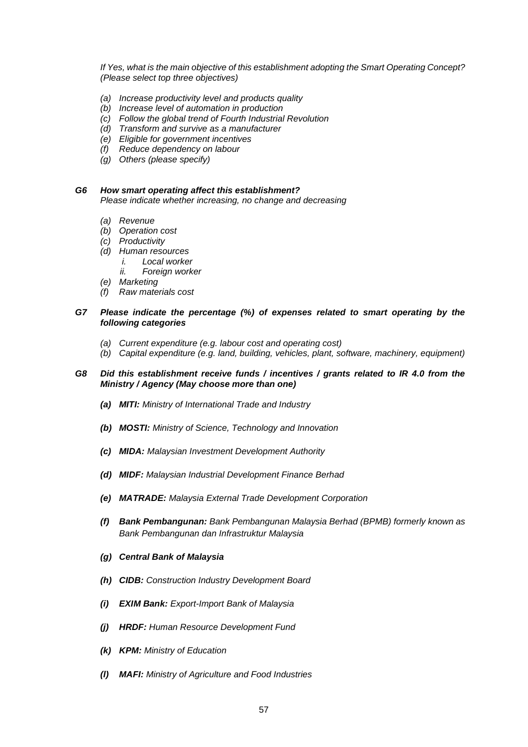*If Yes, what is the main objective of this establishment adopting the Smart Operating Concept? (Please select top three objectives)*

- *(a) Increase productivity level and products quality*
- *(b) Increase level of automation in production*
- *(c) Follow the global trend of Fourth Industrial Revolution*
- *(d) Transform and survive as a manufacturer*
- *(e) Eligible for government incentives*
- *(f) Reduce dependency on labour*
- *(g) Others (please specify)*

#### *G6 How smart operating affect this establishment?*

*Please indicate whether increasing, no change and decreasing*

- *(a) Revenue*
- *(b) Operation cost*
- *(c) Productivity*
- *(d) Human resources*
	- *i. Local worker*
	- *ii. Foreign worker*
- *(e) Marketing*
- *(f) Raw materials cost*

### *G7 Please indicate the percentage (%) of expenses related to smart operating by the following categories*

- *(a) Current expenditure (e.g. labour cost and operating cost)*
- *(b) Capital expenditure (e.g. land, building, vehicles, plant, software, machinery, equipment)*

### *G8 Did this establishment receive funds / incentives / grants related to IR 4.0 from the Ministry / Agency (May choose more than one)*

- *(a) MITI: Ministry of International Trade and Industry*
- *(b) MOSTI: Ministry of Science, Technology and Innovation*
- *(c) MIDA: Malaysian Investment Development Authority*
- *(d) MIDF: Malaysian Industrial Development Finance Berhad*
- *(e) MATRADE: Malaysia External Trade Development Corporation*
- *(f) Bank Pembangunan: Bank Pembangunan Malaysia Berhad (BPMB) formerly known as Bank Pembangunan dan Infrastruktur Malaysia*
- *(g) Central Bank of Malaysia*
- *(h) CIDB: Construction Industry Development Board*
- *(i) EXIM Bank: Export-Import Bank of Malaysia*
- *(j) HRDF: Human Resource Development Fund*
- *(k) KPM: Ministry of Education*
- *(l) MAFI: Ministry of Agriculture and Food Industries*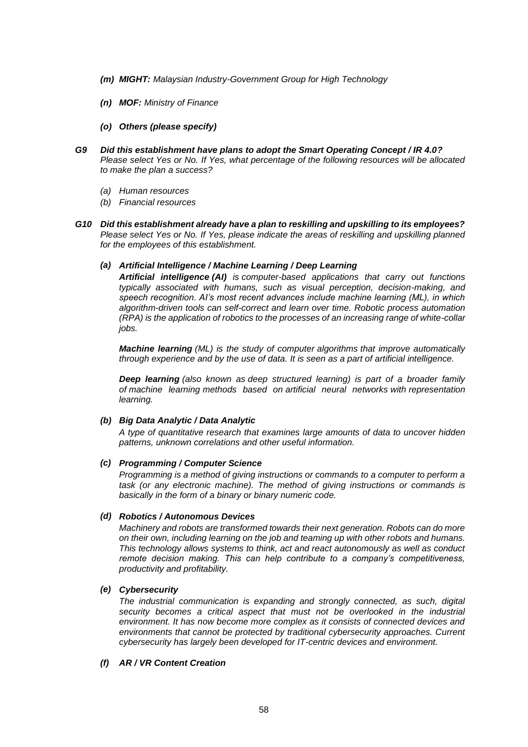- *(m) MIGHT: Malaysian Industry-Government Group for High Technology*
- *(n) MOF: Ministry of Finance*
- *(o) Others (please specify)*
- *G9 Did this establishment have plans to adopt the Smart Operating Concept / IR 4.0? Please select Yes or No. If Yes, what percentage of the following resources will be allocated to make the plan a success?*
	- *(a) Human resources*
	- *(b) Financial resources*
- *G10 Did this establishment already have a plan to reskilling and upskilling to its employees? Please select Yes or No. If Yes, please indicate the areas of reskilling and upskilling planned for the employees of this establishment.*

# *(a) Artificial Intelligence / Machine Learning / Deep Learning*

*Artificial intelligence (AI) is computer-based applications that carry out functions typically associated with humans, such as visual perception, decision-making, and speech recognition. AI's most recent advances include machine learning (ML), in which algorithm-driven tools can self-correct and learn over time. Robotic process automation (RPA) is the application of robotics to the processes of an increasing range of white-collar jobs.*

*Machine learning (ML) is the study of computer [algorithms](https://en.wikipedia.org/wiki/Algorithm) that improve automatically through experience and by the use of data. It is seen as a part of [artificial intelligence.](https://en.wikipedia.org/wiki/Artificial_intelligence)*

*Deep learning (also known as deep structured learning) is part of a broader family of [machine learning](https://en.wikipedia.org/wiki/Machine_learning) methods based on [artificial neural networks](https://en.wikipedia.org/wiki/Artificial_neural_networks) with [representation](https://en.wikipedia.org/wiki/Representation_learning)  [learning.](https://en.wikipedia.org/wiki/Representation_learning)*

## *(b) Big Data Analytic / Data Analytic*

*A type of quantitative research that examines large amounts of data to uncover hidden patterns, unknown correlations and other useful information.*

## *(c) Programming / Computer Science*

*Programming is a method of giving instructions or commands to a computer to perform a task (or any electronic machine). The method of giving instructions or commands is basically in the form of a binary or binary numeric code.*

# *(d) Robotics / Autonomous Devices*

*Machinery and robots are transformed towards their next generation. Robots can do more on their own, including learning on the job and teaming up with other robots and humans. This technology allows systems to think, act and react autonomously as well as conduct remote decision making. This can help contribute to a company's competitiveness, productivity and profitability.*

# *(e) Cybersecurity*

*The industrial communication is expanding and strongly connected, as such, digital security becomes a critical aspect that must not be overlooked in the industrial environment. It has now become more complex as it consists of connected devices and environments that cannot be protected by traditional cybersecurity approaches. Current cybersecurity has largely been developed for IT-centric devices and environment.*

# *(f) AR / VR Content Creation*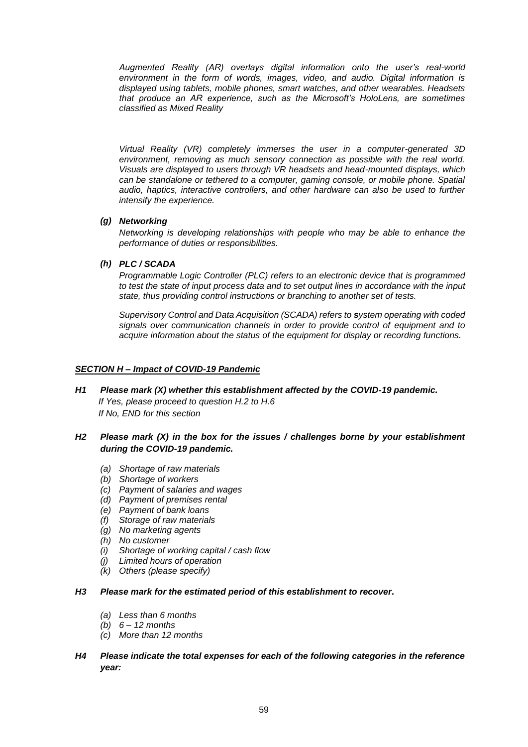*Augmented Reality (AR) overlays digital information onto the user's real-world environment in the form of words, images, video, and audio. Digital information is displayed using tablets, mobile phones, smart watches, and other wearables. Headsets that produce an AR experience, such as the Microsoft's HoloLens, are sometimes classified as Mixed Reality*

*Virtual Reality (VR) completely immerses the user in a computer-generated 3D*  environment, removing as much sensory connection as possible with the real world. *Visuals are displayed to users through VR headsets and head-mounted displays, which can be standalone or tethered to a computer, gaming console, or mobile phone. Spatial audio, haptics, interactive controllers, and other hardware can also be used to further intensify the experience.*

# *(g) Networking*

*Networking is developing relationships with people who may be able to enhance the performance of duties or responsibilities.*

*(h) PLC / SCADA*

*Programmable Logic Controller (PLC) refers to an electronic device that is programmed to test the state of input process data and to set output lines in accordance with the input state, thus providing control instructions or branching to another set of tests.*

*Supervisory Control and Data Acquisition (SCADA) refers to system operating with coded signals over communication channels in order to provide control of equipment and to acquire information about the status of the equipment for display or recording functions.*

# *SECTION H – Impact of COVID-19 Pandemic*

*H1 Please mark (X) whether this establishment affected by the COVID-19 pandemic. If Yes, please proceed to question H.2 to H.6 If No, END for this section*

# *H2 Please mark (X) in the box for the issues / challenges borne by your establishment during the COVID-19 pandemic.*

- *(a) Shortage of raw materials*
- *(b) Shortage of workers*
- *(c) Payment of salaries and wages*
- *(d) Payment of premises rental*
- *(e) Payment of bank loans*
- *(f) Storage of raw materials*
- *(g) No marketing agents*
- *(h) No customer*
- *(i) Shortage of working capital / cash flow*
- *(j) Limited hours of operation*
- *(k) Others (please specify)*

## *H3 Please mark for the estimated period of this establishment to recover.*

- *(a) Less than 6 months*
- *(b) 6 – 12 months*
- *(c) More than 12 months*
- *H4 Please indicate the total expenses for each of the following categories in the reference year:*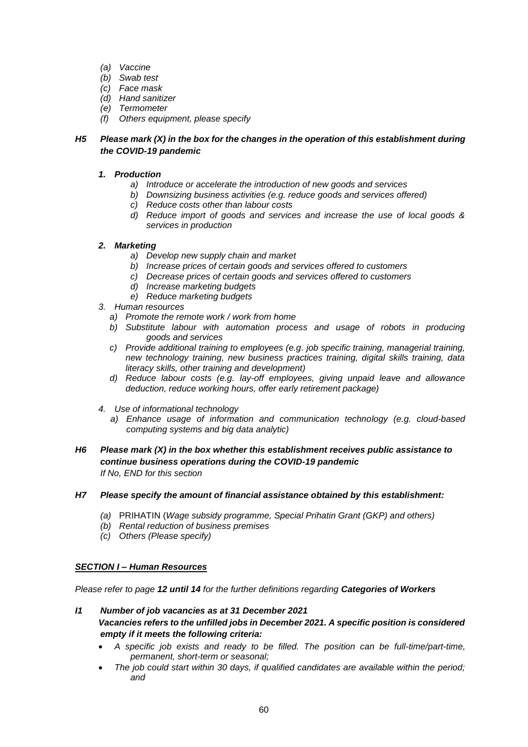- *(a) Vaccine*
- *(b) Swab test*
- *(c) Face mask*
- *(d) Hand sanitizer*
- *(e) Termometer*
- *(f) Others equipment, please specify*

# *H5 Please mark (X) in the box for the changes in the operation of this establishment during the COVID-19 pandemic*

# *1. Production*

- *a) Introduce or accelerate the introduction of new goods and services*
- *b) Downsizing business activities (e.g. reduce goods and services offered)*
- *c) Reduce costs other than labour costs*
- *d) Reduce import of goods and services and increase the use of local goods & services in production*

# *2. Marketing*

- *a) Develop new supply chain and market*
- *b) Increase prices of certain goods and services offered to customers*
- *c) Decrease prices of certain goods and services offered to customers*
- *d) Increase marketing budgets*
- *e) Reduce marketing budgets*
- *3. Human resources*
	- *a) Promote the remote work / work from home*
	- *b) Substitute labour with automation process and usage of robots in producing goods and services*
	- *c) Provide additional training to employees (e.g. job specific training, managerial training, new technology training, new business practices training, digital skills training, data literacy skills, other training and development)*
	- *d) Reduce labour costs (e.g. lay-off employees, giving unpaid leave and allowance deduction, reduce working hours, offer early retirement package)*
- *4. Use of informational technology*
	- *a) Enhance usage of information and communication technology (e.g. cloud-based computing systems and big data analytic)*
- *H6 Please mark (X) in the box whether this establishment receives public assistance to continue business operations during the COVID-19 pandemic If No, END for this section*

# *H7 Please specify the amount of financial assistance obtained by this establishment:*

- *(a)* PRIHATIN (*Wage subsidy programme, Special Prihatin Grant (GKP) and others)*
- *(b) Rental reduction of business premises*
- *(c) Others (Please specify)*

# *SECTION I – Human Resources*

*Please refer to page 12 until 14 for the further definitions regarding Categories of Workers*

- *I1 Number of job vacancies as at 31 December 2021 Vacancies refers to the unfilled jobs in December 2021. A specific position is considered empty if it meets the following criteria:*
	- *A specific job exists and ready to be filled. The position can be full-time/part-time, permanent, short-term or seasonal;*
	- *The job could start within 30 days, if qualified candidates are available within the period; and*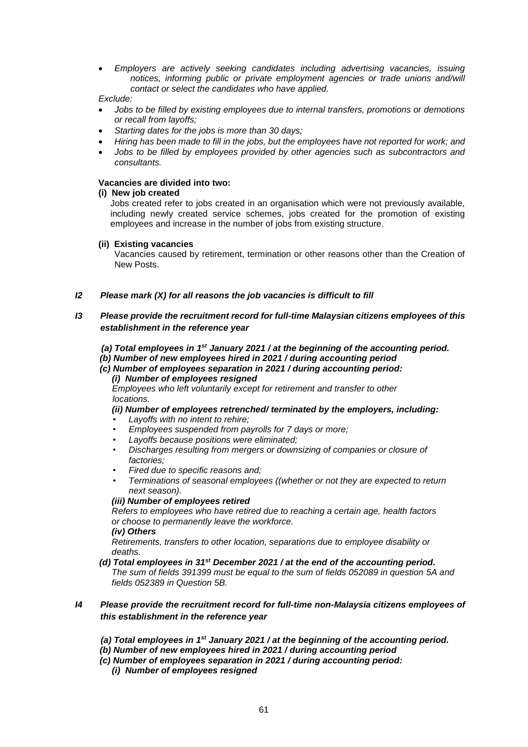*Employers are actively seeking candidates including advertising vacancies, issuing notices, informing public or private employment agencies or trade unions and/will contact or select the candidates who have applied.* 

# *Exclude:*

- *Jobs to be filled by existing employees due to internal transfers, promotions or demotions or recall from layoffs;*
- *Starting dates for the jobs is more than 30 days;*
- *Hiring has been made to fill in the jobs, but the employees have not reported for work; and*
- *Jobs to be filled by employees provided by other agencies such as subcontractors and consultants.*

# **Vacancies are divided into two:**

# **(i) New job created**

Jobs created refer to jobs created in an organisation which were not previously available, including newly created service schemes, jobs created for the promotion of existing employees and increase in the number of jobs from existing structure.

# **(ii) Existing vacancies**

Vacancies caused by retirement, termination or other reasons other than the Creation of New Posts.

# *I2 Please mark (X) for all reasons the job vacancies is difficult to fill*

# *I3 Please provide the recruitment record for full-time Malaysian citizens employees of this establishment in the reference year*

*(a) Total employees in 1st January 2021 / at the beginning of the accounting period.* 

- *(b) Number of new employees hired in 2021 / during accounting period*
- *(c) Number of employees separation in 2021 / during accounting period:* 
	- *(i) Number of employees resigned*

 *Employees who left voluntarily except for retirement and transfer to other locations.*

 *(ii) Number of employees retrenched/ terminated by the employers, including:* 

- *Layoffs with no intent to rehire;*
- *Employees suspended from payrolls for 7 days or more;*
- *Layoffs because positions were eliminated;*
- *Discharges resulting from mergers or downsizing of companies or closure of factories;*
- *Fired due to specific reasons and;*
- *Terminations of seasonal employees ((whether or not they are expected to return next season).*

## *(iii) Number of employees retired*

 *Refers to employees who have retired due to reaching a certain age, health factors or choose to permanently leave the workforce.*

## *(iv) Others*

 *Retirements, transfers to other location, separations due to employee disability or deaths.*

 *(d) Total employees in 31st December 2021 / at the end of the accounting period. The sum of fields 391399 must be equal to the sum of fields 052089 in question 5A and fields 052389 in Question 5B.* 

# *I4 Please provide the recruitment record for full-time non-Malaysia citizens employees of this establishment in the reference year*

- *(a) Total employees in 1st January 2021 / at the beginning of the accounting period.*
- *(b) Number of new employees hired in 2021 / during accounting period*
- *(c) Number of employees separation in 2021 / during accounting period:* 
	- *(i) Number of employees resigned*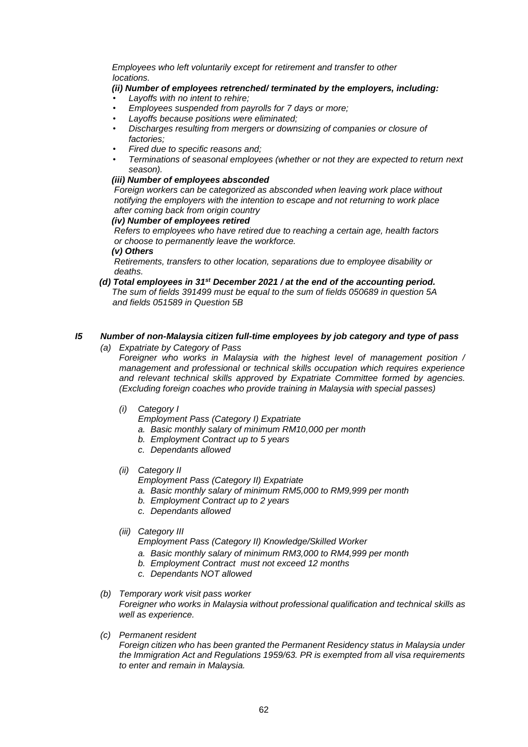*Employees who left voluntarily except for retirement and transfer to other locations.*

# *(ii) Number of employees retrenched/ terminated by the employers, including:*

- *Layoffs with no intent to rehire;*
- *Employees suspended from payrolls for 7 days or more;*
- *Layoffs because positions were eliminated;*
- *Discharges resulting from mergers or downsizing of companies or closure of factories;*
- *Fired due to specific reasons and;*
- *Terminations of seasonal employees (whether or not they are expected to return next season).*

# *(iii) Number of employees absconded*

 *Foreign workers can be categorized as absconded when leaving work place without notifying the employers with the intention to escape and not returning to work place after coming back from origin country*

# *(iv) Number of employees retired*

 *Refers to employees who have retired due to reaching a certain age, health factors or choose to permanently leave the workforce.*

 *(v) Others*

 *Retirements, transfers to other location, separations due to employee disability or deaths.*

 *(d) Total employees in 31st December 2021 / at the end of the accounting period. The sum of fields 391499 must be equal to the sum of fields 050689 in question 5A and fields 051589 in Question 5B* 

# *I5 Number of non-Malaysia citizen full-time employees by job category and type of pass*

*(a) Expatriate by Category of Pass*

*Foreigner who works in Malaysia with the highest level of management position / management and professional or technical skills occupation which requires experience and relevant technical skills approved by Expatriate Committee formed by agencies. (Excluding foreign coaches who provide training in Malaysia with special passes)*

*(i) Category I*

*Employment Pass (Category I) Expatriate*

- *a. Basic monthly salary of minimum RM10,000 per month*
- *b. Employment Contract up to 5 years*
- *c. Dependants allowed*
- *(ii) Category II*
	- *Employment Pass (Category II) Expatriate*
	- *a. Basic monthly salary of minimum RM5,000 to RM9,999 per month*
	- *b. Employment Contract up to 2 years*
	- *c. Dependants allowed*
- *(iii) Category III*

*Employment Pass (Category II) Knowledge/Skilled Worker*

- *a. Basic monthly salary of minimum RM3,000 to RM4,999 per month*
- *b. Employment Contract must not exceed 12 months*
- *c. Dependants NOT allowed*

# *(b) Temporary work visit pass worker Foreigner who works in Malaysia without professional qualification and technical skills as well as experience.*

*(c) Permanent resident*

*Foreign citizen who has been granted the Permanent Residency status in Malaysia under the Immigration Act and Regulations 1959/63. PR is exempted from all visa requirements to enter and remain in Malaysia.*